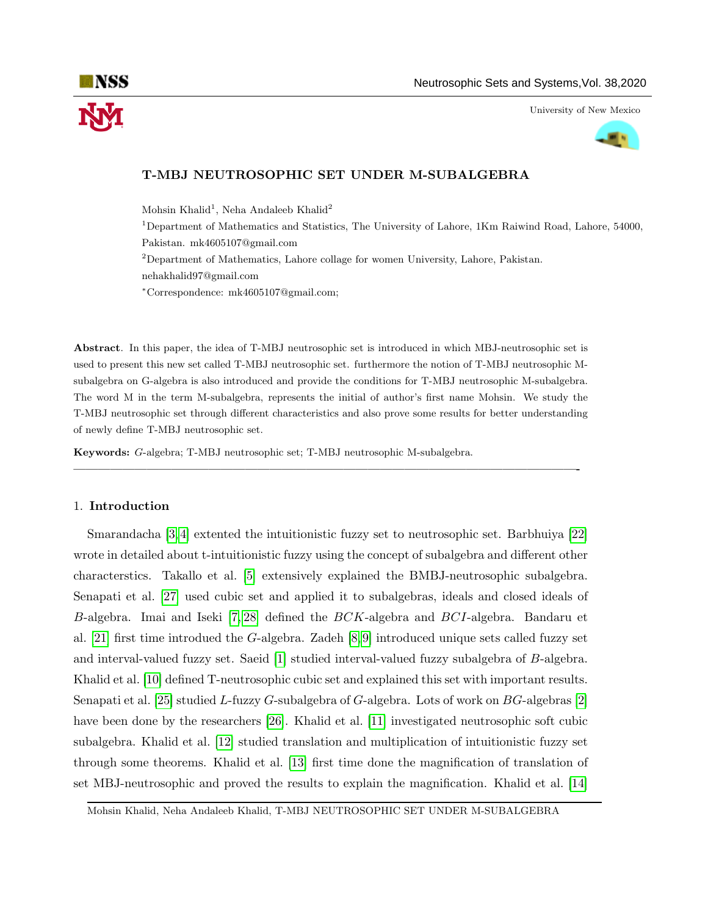

University of New Mexico



# T-MBJ NEUTROSOPHIC SET UNDER M-SUBALGEBRA

Mohsin Khalid<sup>1</sup>, Neha Andaleeb Khalid<sup>2</sup>

<sup>1</sup>Department of Mathematics and Statistics, The University of Lahore, 1Km Raiwind Road, Lahore, 54000, Pakistan. mk4605107@gmail.com

<sup>2</sup>Department of Mathematics, Lahore collage for women University, Lahore, Pakistan. nehakhalid97@gmail.com

<sup>∗</sup>Correspondence: mk4605107@gmail.com;

Abstract. In this paper, the idea of T-MBJ neutrosophic set is introduced in which MBJ-neutrosophic set is used to present this new set called T-MBJ neutrosophic set. furthermore the notion of T-MBJ neutrosophic Msubalgebra on G-algebra is also introduced and provide the conditions for T-MBJ neutrosophic M-subalgebra. The word M in the term M-subalgebra, represents the initial of author's first name Mohsin. We study the T-MBJ neutrosophic set through different characteristics and also prove some results for better understanding of newly define T-MBJ neutrosophic set.

—————————————————————————————————————————-

Keywords: G-algebra; T-MBJ neutrosophic set; T-MBJ neutrosophic M-subalgebra.

## 1. Introduction

Smarandacha [\[3,](#page-13-0) [4\]](#page-13-1) extented the intuitionistic fuzzy set to neutrosophic set. Barbhuiya [\[22\]](#page-14-0) wrote in detailed about t-intuitionistic fuzzy using the concept of subalgebra and different other characterstics. Takallo et al. [\[5\]](#page-14-1) extensively explained the BMBJ-neutrosophic subalgebra. Senapati et al. [\[27\]](#page-14-2) used cubic set and applied it to subalgebras, ideals and closed ideals of B-algebra. Imai and Iseki [\[7,](#page-14-3) [28\]](#page-14-4) defined the BCK-algebra and BCI-algebra. Bandaru et al. [\[21\]](#page-14-5) first time introdued the G-algebra. Zadeh [\[8,](#page-14-6) [9\]](#page-14-7) introduced unique sets called fuzzy set and interval-valued fuzzy set. Saeid [\[1\]](#page-13-2) studied interval-valued fuzzy subalgebra of B-algebra. Khalid et al. [\[10\]](#page-14-8) defined T-neutrosophic cubic set and explained this set with important results. Senapati et al. [\[25\]](#page-14-9) studied L-fuzzy G-subalgebra of G-algebra. Lots of work on BG-algebras [\[2\]](#page-13-3) have been done by the researchers [\[26\]](#page-14-10). Khalid et al. [\[11\]](#page-14-11) investigated neutrosophic soft cubic subalgebra. Khalid et al. [\[12\]](#page-14-12) studied translation and multiplication of intuitionistic fuzzy set through some theorems. Khalid et al. [\[13\]](#page-14-13) first time done the magnification of translation of set MBJ-neutrosophic and proved the results to explain the magnification. Khalid et al. [\[14\]](#page-14-14)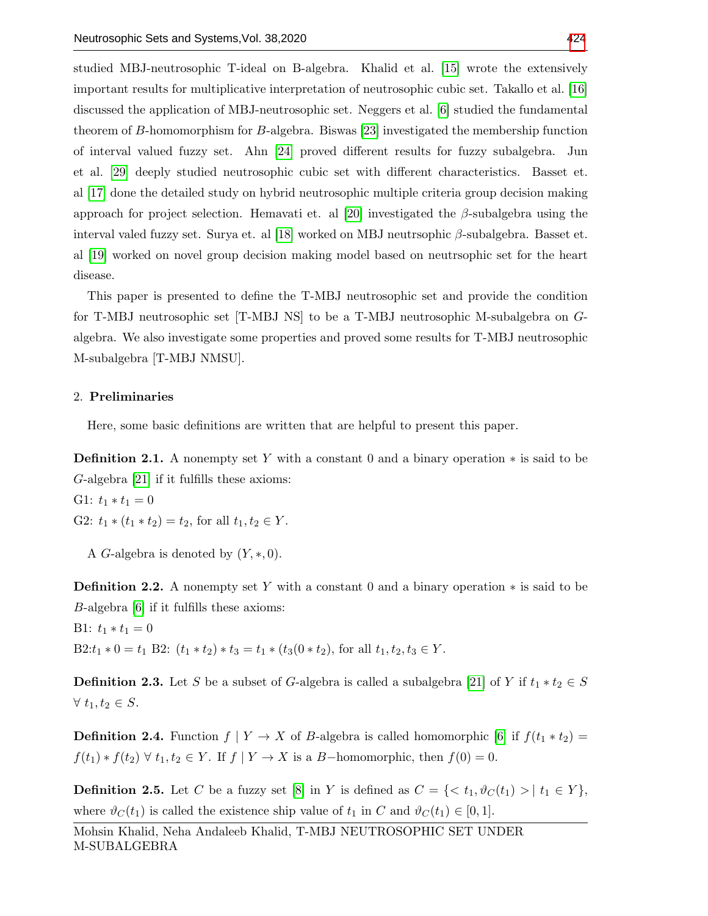studied MBJ-neutrosophic T-ideal on B-algebra. Khalid et al. [\[15\]](#page-14-15) wrote the extensively important results for multiplicative interpretation of neutrosophic cubic set. Takallo et al. [\[16\]](#page-14-16) discussed the application of MBJ-neutrosophic set. Neggers et al. [\[6\]](#page-14-17) studied the fundamental theorem of B-homomorphism for B-algebra. Biswas [\[23\]](#page-14-18) investigated the membership function of interval valued fuzzy set. Ahn [\[24\]](#page-14-19) proved different results for fuzzy subalgebra. Jun et al. [\[29\]](#page-15-1) deeply studied neutrosophic cubic set with different characteristics. Basset et. al [\[17\]](#page-14-20) done the detailed study on hybrid neutrosophic multiple criteria group decision making approach for project selection. Hemavati et. al [\[20\]](#page-14-21) investigated the  $\beta$ -subalgebra using the interval valed fuzzy set. Surya et. al [\[18\]](#page-14-22) worked on MBJ neutrsophic  $β$ -subalgebra. Basset et. al [\[19\]](#page-14-23) worked on novel group decision making model based on neutrsophic set for the heart disease.

This paper is presented to define the T-MBJ neutrosophic set and provide the condition for T-MBJ neutrosophic set [T-MBJ NS] to be a T-MBJ neutrosophic M-subalgebra on Galgebra. We also investigate some properties and proved some results for T-MBJ neutrosophic M-subalgebra [T-MBJ NMSU].

### 2. Preliminaries

Here, some basic definitions are written that are helpful to present this paper.

**Definition 2.1.** A nonempty set Y with a constant 0 and a binary operation  $*$  is said to be G-algebra [\[21\]](#page-14-5) if it fulfills these axioms:

G1: 
$$
t_1 * t_1 = 0
$$
  
G2:  $t_1 * (t_1 * t_2) = t_2$ , for all  $t_1, t_2 \in Y$ .

A G-algebra is denoted by  $(Y, *, 0)$ .

**Definition 2.2.** A nonempty set Y with a constant 0 and a binary operation  $*$  is said to be B-algebra [\[6\]](#page-14-17) if it fulfills these axioms:

B1:  $t_1 * t_1 = 0$ B2: $t_1 * 0 = t_1$  B2:  $(t_1 * t_2) * t_3 = t_1 * (t_3(0 * t_2))$ , for all  $t_1, t_2, t_3 \in Y$ .

**Definition 2.3.** Let S be a subset of G-algebra is called a subalgebra [\[21\]](#page-14-5) of Y if  $t_1 * t_2 \in S$  $\forall t_1, t_2 \in S.$ 

**Definition 2.4.** Function  $f \mid Y \to X$  of B-algebra is called homomorphic [\[6\]](#page-14-17) if  $f(t_1 * t_2) =$  $f(t_1) * f(t_2) \; \forall \; t_1, t_2 \in Y$ . If  $f | Y \to X$  is a B-homomorphic, then  $f(0) = 0$ .

**Definition 2.5.** Let C be a fuzzy set [\[8\]](#page-14-6) in Y is defined as  $C = \{ \langle t_1, \vartheta_C(t_1) \rangle | t_1 \in Y \}$ , where  $\vartheta_C(t_1)$  is called the existence ship value of  $t_1$  in C and  $\vartheta_C(t_1) \in [0,1]$ .

Mohsin Khalid, Neha Andaleeb Khalid, T-MBJ NEUTROSOPHIC SET UNDER M-SUBALGEBRA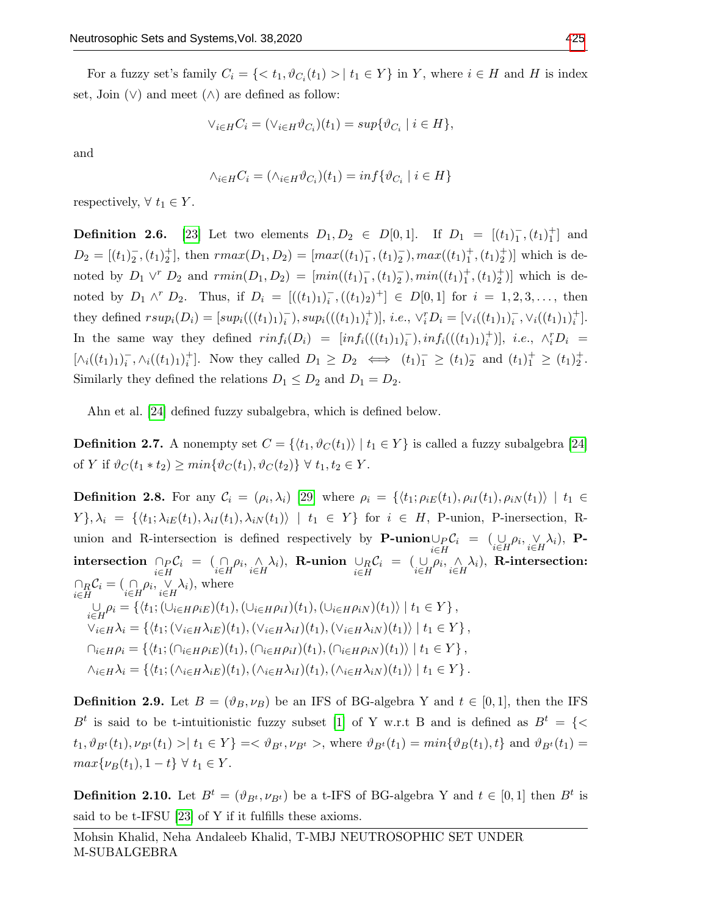For a fuzzy set's family  $C_i = \{ \langle t_1, \vartheta_{C_i}(t_1) \rangle | t_1 \in Y \}$  in Y, where  $i \in H$  and H is index set, Join  $(\vee)$  and meet  $(\wedge)$  are defined as follow:

$$
\vee_{i \in H} C_i = (\vee_{i \in H} \vartheta_{C_i})(t_1) = \sup \{ \vartheta_{C_i} \mid i \in H \},
$$

and

$$
\wedge_{i \in H} C_i = (\wedge_{i \in H} \vartheta_{C_i})(t_1) = \inf \{ \vartheta_{C_i} \mid i \in H \}
$$

respectively,  $\forall t_1 \in Y$ .

**Definition 2.6.** [\[23\]](#page-14-18) Let two elements  $D_1, D_2 \in D[0,1]$ . If  $D_1 = [(t_1)^{-}_{1}, (t_1)^{+}_{1}]$  and  $D_2 = [(t_1)^{-}_{2}, (t_1)^{+}_{2}]$ , then  $rmax(D_1, D_2) = [max((t_1)^{-}_{1}, (t_1)^{-}_{2}), max((t_1)^{+}_{1}, (t_1)^{+}_{2})]$  which is denoted by  $D_1 \vee^r D_2$  and  $rmin(D_1, D_2) = [min((t_1)^-, (t_1)^-, (t_1)^+, (t_1)^+_2)]$  which is denoted by  $D_1 \wedge^r D_2$ . Thus, if  $D_i = [((t_1)_1)_i^-, ((t_1)_2)^+] \in D[0,1]$  for  $i = 1, 2, 3, \ldots$ , then they defined  $rsup_i(D_i) = [sup_i(((t_1)_1)_i^-), sup_i(((t_1)_1)_i^+)], i.e., \vee_i^r D_i = [\vee_i((t_1)_1)_i^-,\vee_i((t_1)_1)_i^+].$ In the same way they defined  $rinf_i(D_i) = [inf_i(((t_1)_1)_i^-), inf_i(((t_1)_1)_i^+)], i.e., \wedge_i^r D_i =$  $[\wedge_i((t_1)_1)_i^-, \wedge_i((t_1)_1)_i^+]$ . Now they called  $D_1 \geq D_2 \iff (t_1)_1^-\geq (t_1)_2^-$  and  $(t_1)_1^+\geq (t_1)_2^+$ . Similarly they defined the relations  $D_1 \leq D_2$  and  $D_1 = D_2$ .

Ahn et al. [\[24\]](#page-14-19) defined fuzzy subalgebra, which is defined below.

**Definition 2.7.** A nonempty set  $C = \{ \langle t_1, \vartheta_C(t_1) \rangle | t_1 \in Y \}$  is called a fuzzy subalgebra [\[24\]](#page-14-19) of Y if  $\vartheta_C(t_1 * t_2) \geq min{\lbrace \vartheta_C(t_1), \vartheta_C(t_2) \rbrace \ \forall \ t_1, t_2 \in Y}$ .

**Definition 2.8.** For any  $C_i = (\rho_i, \lambda_i)$  [\[29\]](#page-15-1) where  $\rho_i = \{ \langle t_1; \rho_{iE}(t_1), \rho_{iI}(t_1), \rho_{iN}(t_1) \rangle \mid t_1 \in$  $Y\}, \lambda_i = \{ \langle t_1; \lambda_{iE}(t_1), \lambda_{iI}(t_1), \lambda_{iN}(t_1) \rangle \mid t_1 \in Y \}$  for  $i \in H$ , P-union, P-inersection, Runion and R-intersection is defined respectively by **P-union** $\bigcup_{i\in H} C_i = (\bigcup_{i\in H} \rho_i, \bigvee_{i\in H} \lambda_i),$  **P-** $\begin{array}{lll} \text{intersection} \,\,\cap_{P}\mathcal{C}_{i} \,\,=\,\,\, (\underset{i\in H}{\cap}\rho_{i},\underset{i\in H}{\wedge}\lambda_{i}), \,\,\text{R-union} \,\,\cup_{R}\mathcal{C}_{i} \,\,\,=\,\,\, (\underset{i\in H}{\cup}\rho_{i},\underset{i\in H}{\wedge}\lambda_{i}), \,\,\text{R-intersection:} \end{array}$  $\bigcap_{i\in H} \mathcal{C}_i = (\bigcap_{i\in H} \rho_i, \bigvee_{i\in H} \lambda_i),$  where  $\bigcup_{i\in H} \rho_i = \{ \langle t_1; (\cup_{i\in H} \rho_{iE})(t_1), (\cup_{i\in H} \rho_{iI})(t_1), (\cup_{i\in H} \rho_{iN})(t_1) \rangle \mid t_1 \in Y \},\$  $\overline{\vee}_{i\in H}\lambda_i = \{ \langle t_1; (\vee_{i\in H}\lambda_{iE})(t_1),(\vee_{i\in H}\lambda_{iI})(t_1),(\vee_{i\in H}\lambda_{iN})(t_1)\rangle \mid t_1 \in Y \}$  $\bigcap_{i\in H}\rho_i = \{ \langle t_1; (\bigcap_{i\in H}\rho_{iE})(t_1), (\bigcap_{i\in H}\rho_{iI})(t_1), (\bigcap_{i\in H}\rho_{iN})(t_1) \rangle \mid t_1 \in Y \},\$  $\wedge_{i\in H}\lambda_i = \{ \langle t_1; (\wedge_{i\in H}\lambda_{iE})(t_1),(\wedge_{i\in H}\lambda_{iI})(t_1),(\wedge_{i\in H}\lambda_{iN})(t_1)\rangle \mid t_1 \in Y \}.$ 

**Definition 2.9.** Let  $B = (\vartheta_B, \nu_B)$  be an IFS of BG-algebra Y and  $t \in [0, 1]$ , then the IFS  $B<sup>t</sup>$  is said to be t-intuitionistic fuzzy subset [\[1\]](#page-13-2) of Y w.r.t B and is defined as  $B<sup>t</sup> = \{ \langle$  $t_1, \vartheta_{B^t}(t_1), \nu_{B^t}(t_1) > | t_1 \in Y \} = \langle \vartheta_{B^t}, \nu_{B^t} \rangle$ , where  $\vartheta_{B^t}(t_1) = min{\lbrace \vartheta_B(t_1), t \rbrace}$  and  $\vartheta_{B^t}(t_1) =$  $max\{\nu_B(t_1), 1 - t\} \,\forall \, t_1 \in Y.$ 

**Definition 2.10.** Let  $B^t = (\vartheta_{B^t}, \nu_{B^t})$  be a t-IFS of BG-algebra Y and  $t \in [0,1]$  then  $B^t$  is said to be t-IFSU [\[23\]](#page-14-18) of Y if it fulfills these axioms.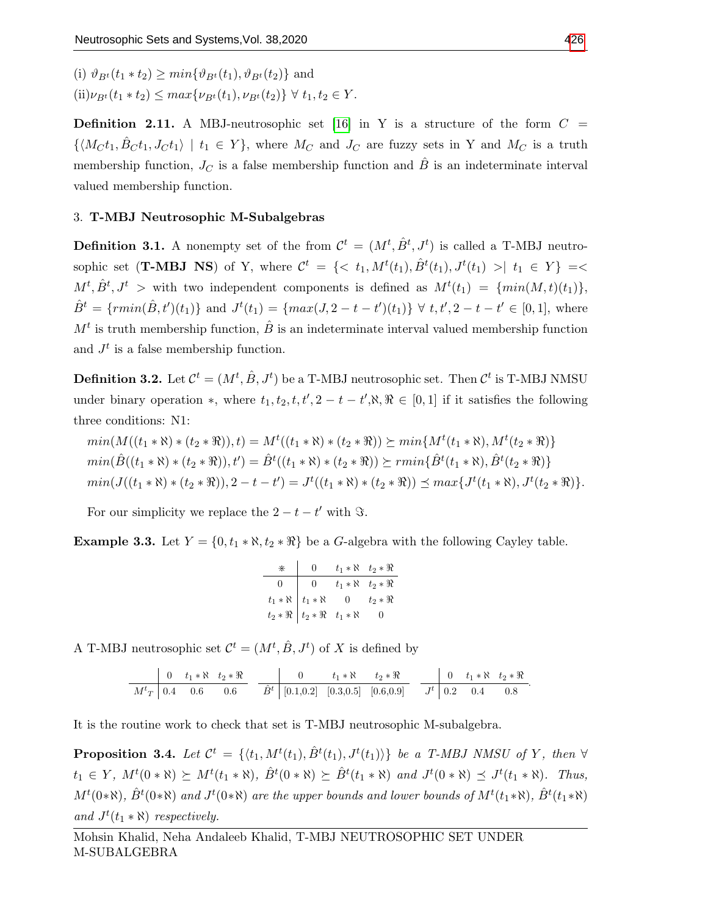(i)  $\vartheta_{B_t}(t_1 * t_2) \geq min{\vartheta_{B_t}(t_1), \vartheta_{B_t}(t_2)}$  and

 $(iii)\nu_{Bt}(t_1 * t_2) \leq max\{\nu_{Bt}(t_1), \nu_{Bt}(t_2)\} \ \forall \ t_1, t_2 \in Y.$ 

**Definition 2.11.** A MBJ-neutrosophic set [\[16\]](#page-14-16) in Y is a structure of the form  $C =$  $\{\langle M_Ct_1, B_Ct_1, J_Ct_1 \rangle \mid t_1 \in Y\}$ , where  $M_C$  and  $J_C$  are fuzzy sets in Y and  $M_C$  is a truth membership function,  $J_C$  is a false membership function and  $\hat{B}$  is an indeterminate interval valued membership function.

# 3. T-MBJ Neutrosophic M-Subalgebras

**Definition 3.1.** A nonempty set of the from  $\mathcal{C}^t = (M^t, \hat{B}^t, J^t)$  is called a T-MBJ neutrosophic set (**T-MBJ NS**) of Y, where  $\mathcal{C}^t = \{ \langle t_1, M^t(t_1), \hat{B}^t(t_1), J^t(t_1) \rangle | t_1 \in Y \} = \langle t_1, \hat{B}^t(t_1), J^t(t_1) \rangle | t_1 \in Y \}$  $M^t, \hat{B}^t, J^t > \text{ with two independent components is defined as } M^t(t_1) = \{min(M, t)(t_1)\},$  $\hat{B}^t = \{rmin(\hat{B}, t')(t_1)\}\$ and  $J^t(t_1) = \{max(J, 2 - t - t')(t_1)\}\ \forall \ t, t', 2 - t - t' \in [0, 1],$  where  $M<sup>t</sup>$  is truth membership function,  $\hat{B}$  is an indeterminate interval valued membership function and  $J<sup>t</sup>$  is a false membership function.

**Definition 3.2.** Let  $\mathcal{C}^t = (M^t, \hat{B}, J^t)$  be a T-MBJ neutrosophic set. Then  $\mathcal{C}^t$  is T-MBJ NMSU under binary operation \*, where  $t_1, t_2, t, t', 2 - t - t', \aleph, \Re \in [0, 1]$  if it satisfies the following three conditions: N1:

$$
min(M((t_1 * \aleph) * (t_2 * \Re)), t) = M^t((t_1 * \aleph) * (t_2 * \Re)) \succeq min\{M^t(t_1 * \aleph), M^t(t_2 * \Re)\}
$$
  
\n
$$
min(\hat{B}((t_1 * \aleph) * (t_2 * \Re)), t') = \hat{B}^t((t_1 * \aleph) * (t_2 * \Re)) \succeq rmin\{\hat{B}^t(t_1 * \aleph), \hat{B}^t(t_2 * \Re)\}
$$
  
\n
$$
min(J((t_1 * \aleph) * (t_2 * \Re)), 2 - t - t') = J^t((t_1 * \aleph) * (t_2 * \Re)) \preceq max\{J^t(t_1 * \aleph), J^t(t_2 * \Re)\}.
$$

For our simplicity we replace the  $2 - t - t'$  with  $\Im$ .

Example 3.3. Let  $Y = \{0, t_1 * \aleph, t_2 * \aleph\}$  be a G-algebra with the following Cayley table.

| $*$ | $\overline{0}$                                                                                              | $t_1 * \aleph \quad t_2 * \Re$   |
|-----|-------------------------------------------------------------------------------------------------------------|----------------------------------|
|     | $0 \mid 0$                                                                                                  | $t_1 * \aleph \quad t_2 * \Re$   |
|     | $\begin{array}{c cc}\nt_1 * \aleph & t_1 * \aleph & 0 \\ t_2 * \Re & t_2 * \Re & t_1 * \aleph\n\end{array}$ | $t_2 * \Re$                      |
|     |                                                                                                             | $\begin{array}{c} 0 \end{array}$ |

A T-MBJ neutrosophic set  $\mathcal{C}^t = (M^t, \hat{B}, J^t)$  of X is defined by

$$
\begin{array}{c|ccccccccc}\n & 0 & t_1 * \aleph & t_2 * \Re & & 0 & t_1 * \aleph & t_2 * \Re \\
\hline\nM^t{}_T & 0.4 & 0.6 & 0.6 & & 0.6 & & \hat{B}^t & [0.1, 0.2] & [0.3, 0.5] & [0.6, 0.9] & & J^t & 0.2 & 0.4 & 0.8\n\end{array}
$$

It is the routine work to check that set is T-MBJ neutrosophic M-subalgebra.

**Proposition 3.4.** Let  $\mathcal{C}^t = \{ \langle t_1, M^t(t_1), \hat{B}^t(t_1), J^t(t_1) \rangle \}$  be a T-MBJ NMSU of Y, then  $\forall$  $t_1 \in Y$ ,  $M^t(0 * \aleph) \succeq M^t(t_1 * \aleph)$ ,  $\hat{B}^t(0 * \aleph) \succeq \hat{B}^t(t_1 * \aleph)$  and  $J^t(0 * \aleph) \preceq J^t(t_1 * \aleph)$ . Thus,  $M^t(0*\aleph), \hat{B}^t(0*\aleph)$  and  $J^t(0*\aleph)$  are the upper bounds and lower bounds of  $M^t(t_1*\aleph), \hat{B}^t(t_1*\aleph)$ and  $J^t(t_1 * \aleph)$  respectively.

.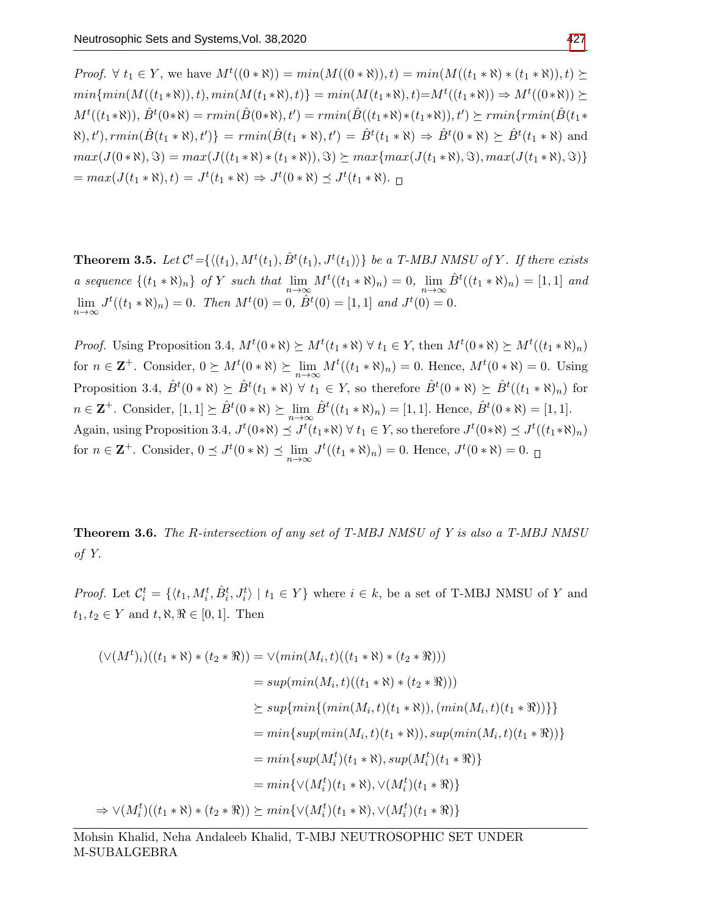*Proof.*  $\forall$   $t_1 \in Y$ , we have  $M^t((0 * \aleph)) = min(M((0 * \aleph))$ ,  $t) = min(M((t_1 * \aleph) * (t_1 * \aleph))$ ,  $t) \succeq$  $min\{min(M((t_1*\aleph)), t), min(M(t_1*\aleph), t)\} = min(M(t_1*\aleph), t) = M^t((t_1*\aleph)) \Rightarrow M^t((0*\aleph)) \succeq$  $M^t((t_1*\aleph)), \hat{B}^t(0*\aleph)=rmin(\hat{B}(0*\aleph), t')=rmin(\hat{B}((t_1*\aleph)*(t_1*\aleph)), t')\succeq rmin\{rmin(\hat{B}(t_1*\aleph))\}$  $\{\mathcal{B}(t_1*\aleph), t'\}\ =\ rmin(\hat{B}(t_1*\aleph), t') = \hat{B}^t(t_1*\aleph) \Rightarrow \hat{B}^t(0*\aleph) \succeq \hat{B}^t(t_1*\aleph)$  and  $max(J(0 * \aleph), \Im) = max(J((t_1 * \aleph) * (t_1 * \aleph)), \Im) \succeq max\{max(J(t_1 * \aleph), \Im), max(J(t_1 * \aleph), \Im)\}\$  $= max(J(t_1 * \aleph), t) = J^t(t_1 * \aleph) \Rightarrow J^t(0 * \aleph) \preceq J^t(t_1 * \aleph).$ 

**Theorem 3.5.** Let  $\mathcal{C}^t = \{ \langle (t_1), M^t(t_1), \hat{B}^t(t_1), J^t(t_1) \rangle \}$  be a T-MBJ NMSU of Y. If there exists a sequence  $\{(t_1 * \aleph)_n\}$  of Y such that  $\lim_{n \to \infty} M^t((t_1 * \aleph)_n) = 0$ ,  $\lim_{n \to \infty} \hat{B}^t((t_1 * \aleph)_n) = [1, 1]$  and  $\lim_{n \to \infty} J^t((t_1 * \aleph)_n) = 0$ . Then  $M^t(0) = 0$ ,  $\hat{B}^t(0) = [1, 1]$  and  $J^t(0) = 0$ .

*Proof.* Using Proposition 3.4,  $M^t(0*\aleph) \succeq M^t(t_1*\aleph) \ \forall \ t_1 \in Y$ , then  $M^t(0*\aleph) \succeq M^t((t_1*\aleph)_n)$ for  $n \in \mathbf{Z}^+$ . Consider,  $0 \succeq M^t(0 * \aleph) \succeq \lim_{n \to \infty} M^t((t_1 * \aleph)_n) = 0$ . Hence,  $M^t(0 * \aleph) = 0$ . Using Proposition 3.4,  $\hat{B}^t(0 * \aleph) \succeq \hat{B}^t(t_1 * \aleph) \ \forall t_1 \in Y$ , so therefore  $\hat{B}^t(0 * \aleph) \succeq \hat{B}^t((t_1 * \aleph)_n)$  for  $n \in \mathbf{Z}^+$ . Consider,  $[1, 1] \succeq \hat{B}^t(0 * \aleph) \succeq \lim_{n \to \infty} \hat{B}^t((t_1 * \aleph)_n) = [1, 1]$ . Hence,  $\hat{B}^t(0 * \aleph) = [1, 1]$ . Again, using Proposition 3.4,  $J^t(0*\aleph) \preceq J^t(t_1*\aleph)$   $\forall t_1 \in Y$ , so therefore  $J^t(0*\aleph) \preceq J^t((t_1*\aleph)_n)$ for  $n \in \mathbf{Z}^+$ . Consider,  $0 \preceq J^t(0 * \aleph) \preceq \lim_{n \to \infty} J^t((t_1 * \aleph)_n) = 0$ . Hence,  $J^t(0 * \aleph) = 0$ .

Theorem 3.6. The R-intersection of any set of T-MBJ NMSU of Y is also a T-MBJ NMSU of Y.

*Proof.* Let  $\mathcal{C}_i^t = \{\langle t_1, M_i^t, \hat{B}_i^t, J_i^t \rangle \mid t_1 \in Y\}$  where  $i \in k$ , be a set of T-MBJ NMSU of Y and  $t_1, t_2 \in Y$  and  $t, \aleph, \Re \in [0, 1]$ . Then

$$
(\vee(M^t)_i)((t_1 * \aleph) * (t_2 * \Re)) = \vee(min(M_i, t)((t_1 * \aleph) * (t_2 * \Re)))
$$
  
\n
$$
= sup(min(M_i, t)((t_1 * \aleph) * (t_2 * \Re)))
$$
  
\n
$$
\ge sup\{min\{(min(M_i, t)(t_1 * \aleph)), (min(M_i, t)(t_1 * \Re))\}\}
$$
  
\n
$$
= min\{sup(min(M_i, t)(t_1 * \aleph)), sup(min(M_i, t)(t_1 * \Re))\}
$$
  
\n
$$
= min\{sup(M_i^t)(t_1 * \aleph), sup(M_i^t)(t_1 * \Re)\}
$$
  
\n
$$
= min\{\vee(M_i^t)(t_1 * \aleph), \vee(M_i^t)(t_1 * \Re)\}
$$
  
\n
$$
\Rightarrow \vee(M_i^t)((t_1 * \aleph) * (t_2 * \Re)) \ge min\{\vee(M_i^t)(t_1 * \aleph), \vee(M_i^t)(t_1 * \Re)\}
$$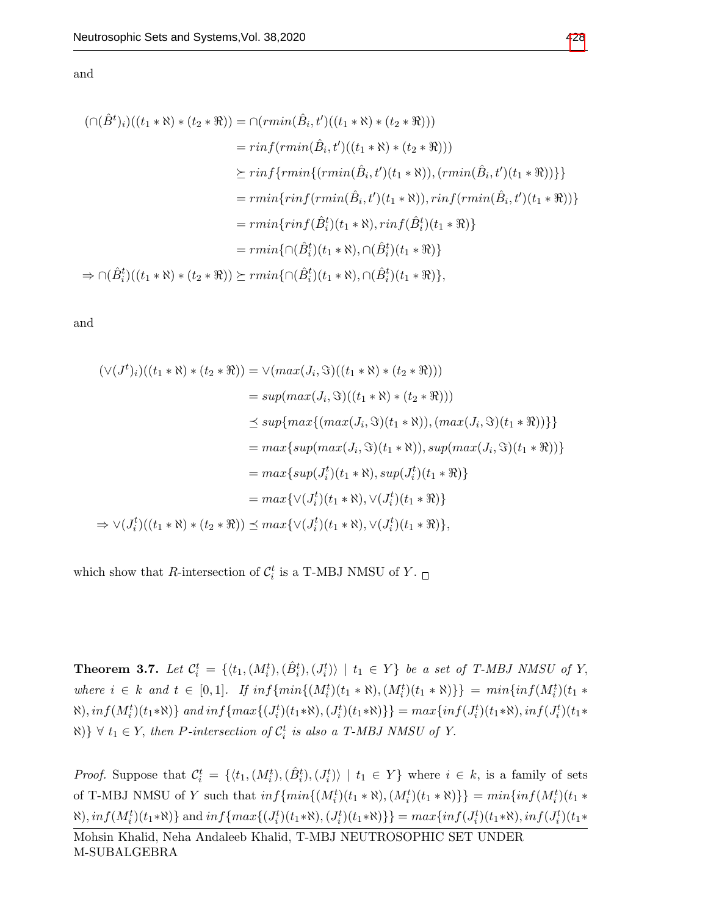and

$$
(\bigcap (\hat{B}^t)_i)((t_1 * \aleph) * (t_2 * \Re)) = \bigcap (rmin(\hat{B}_i, t')((t_1 * \aleph) * (t_2 * \Re)))
$$
  
\n
$$
= rinf(rmin(\hat{B}_i, t')((t_1 * \aleph) * (t_2 * \Re)))
$$
  
\n
$$
\succeq rinf\{rmin\{(rmin(\hat{B}_i, t')(t_1 * \aleph)), (rmin(\hat{B}_i, t')(t_1 * \Re))\}\}
$$
  
\n
$$
= rmin\{rinf(rmin(\hat{B}_i, t')(t_1 * \aleph)), rinf(rmin(\hat{B}_i, t')(t_1 * \Re))\}
$$
  
\n
$$
= rmin\{rinf(\hat{B}_i^t)(t_1 * \aleph), rinf(\hat{B}_i^t)(t_1 * \Re)\}
$$
  
\n
$$
\Rightarrow \bigcap (\hat{B}_i^t)((t_1 * \aleph) * (t_2 * \Re)) \succeq rmin\{ \bigcap (\hat{B}_i^t)(t_1 * \aleph), \bigcap (\hat{B}_i^t)(t_1 * \Re) \},
$$

and

$$
(\vee (J^t)_i)((t_1 * \aleph) * (t_2 * \Re)) = \vee (max(J_i, \Im)((t_1 * \aleph) * (t_2 * \Re)))
$$
  
\n
$$
= sup(max(J_i, \Im)((t_1 * \aleph) * (t_2 * \Re)))
$$
  
\n
$$
\le sup\{max\{(max(J_i, \Im)(t_1 * \aleph)), (max(J_i, \Im)(t_1 * \Re))\}\}
$$
  
\n
$$
= max\{sup(max(J_i, \Im)(t_1 * \aleph)), sup(max(J_i, \Im)(t_1 * \Re))\}
$$
  
\n
$$
= max\{sup(J_i^t)(t_1 * \aleph), sup(J_i^t)(t_1 * \Re)\}
$$
  
\n
$$
= max\{ \vee (J_i^t)(t_1 * \aleph), \vee (J_i^t)(t_1 * \Re)\}
$$
  
\n
$$
\Rightarrow \vee (J_i^t)((t_1 * \aleph) * (t_2 * \Re)) \le max\{ \vee (J_i^t)(t_1 * \aleph), \vee (J_i^t)(t_1 * \Re)\},
$$

which show that R-intersection of  $\mathcal{C}_i^t$  is a T-MBJ NMSU of Y.

**Theorem 3.7.** Let  $\mathcal{C}_i^t = \{ \langle t_1, (M_i^t), (\hat{B}_i^t), (J_i^t) \rangle \mid t_1 \in Y \}$  be a set of T-MBJ NMSU of Y, where  $i \in k$  and  $t \in [0,1]$ . If  $inf\{min\{(M_i^t)(t_1 * \aleph), (M_i^t)(t_1 * \aleph)\}\}$  =  $min\{inf(M_i^t)(t_1 * \aleph)\}$  $\{M_i^t\}(t_1*\aleph)\}$  and  $inf\{max\{(J_i^t)(t_1*\aleph),(J_i^t)(t_1*\aleph)\}\} = max\{inf(J_i^t)(t_1*\aleph),inf(J_i^t)(t_1*\aleph)\}$  $\{ \forall \ t_1 \in Y, \text{ then } P\text{-}intersection \ of \ \mathcal{C}_i^t \ \text{ is also a } T\text{-}MBJ \text{ }NMSU \text{ } of \text{ } Y.$ 

*Proof.* Suppose that  $\mathcal{C}_i^t = \{ \langle t_1, (M_i^t), (\hat{B}_i^t), (J_i^t) \rangle \mid t_1 \in Y \}$  where  $i \in k$ , is a family of sets of T-MBJ NMSU of Y such that  $inf\{min\{(M_i^t)(t_1 * \aleph), (M_i^t)(t_1 * \aleph)\}\} = min\{inf(M_i^t)(t_1 * \aleph)\}$  $\{M_i^t\}(t_1*\aleph)\}$  and  $inf\{max\{(J_i^t)(t_1*\aleph), (J_i^t)(t_1*\aleph)\}\}$  =  $max\{inf(J_i^t)(t_1*\aleph), inf(J_i^t)(t_1*\aleph)\}$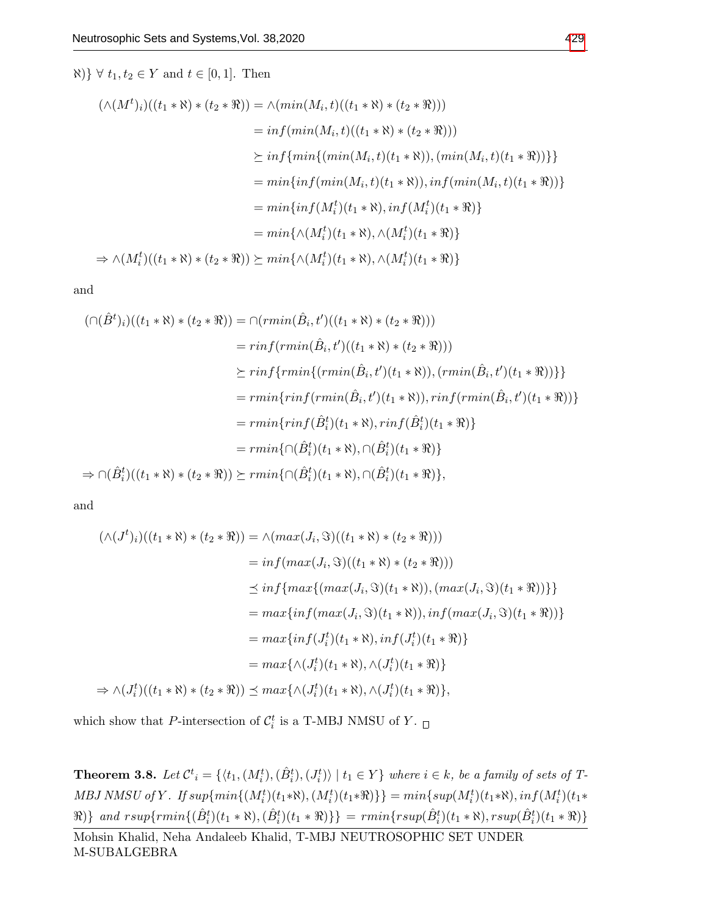$\aleph$   $\forall$   $t_1, t_2 \in Y$  and  $t \in [0, 1]$ . Then

$$
(\wedge (M^t)_i)((t_1 * \aleph) * (t_2 * \Re)) = \wedge (min(M_i, t)((t_1 * \aleph) * (t_2 * \Re)))
$$
  
\n
$$
= inf(min(M_i, t)((t_1 * \aleph) * (t_2 * \Re)))
$$
  
\n
$$
\geq inf\{min\{(min(M_i, t)(t_1 * \aleph)), (min(M_i, t)(t_1 * \Re))\}\}
$$
  
\n
$$
= min\{inf(min(M_i, t)(t_1 * \aleph)), inf(min(M_i, t)(t_1 * \Re))\}
$$
  
\n
$$
= min\{inf(M_i^t)(t_1 * \aleph), inf(M_i^t)(t_1 * \Re)\}
$$
  
\n
$$
\Rightarrow \wedge (M_i^t)((t_1 * \aleph) * (t_2 * \Re)) \succeq min\{\wedge (M_i^t)(t_1 * \aleph), \wedge (M_i^t)(t_1 * \Re)\}
$$

and

$$
(\bigcap (\hat{B}^t)_i)((t_1 * \aleph) * (t_2 * \Re)) = \bigcap (rmin(\hat{B}_i, t')((t_1 * \aleph) * (t_2 * \Re)))
$$
  
\n
$$
= rinf(rmin(\hat{B}_i, t')((t_1 * \aleph) * (t_2 * \Re)))
$$
  
\n
$$
\succeq rinf\{rmin\{(rmin(\hat{B}_i, t')(t_1 * \aleph)), (rmin(\hat{B}_i, t')(t_1 * \Re))\}\}
$$
  
\n
$$
= rmin\{rinf(rmin(\hat{B}_i, t')(t_1 * \aleph)), rinf(rmin(\hat{B}_i, t')(t_1 * \Re))\}
$$
  
\n
$$
= rmin\{rinf(\hat{B}_i^t)(t_1 * \aleph), rinf(\hat{B}_i^t)(t_1 * \Re)\}
$$
  
\n
$$
\Rightarrow \bigcap (\hat{B}_i^t)((t_1 * \aleph) * (t_2 * \Re)) \succeq rmin\{ \bigcap (\hat{B}_i^t)(t_1 * \aleph), \bigcap (\hat{B}_i^t)(t_1 * \Re) \},
$$

and

$$
(\wedge (J^t)_i)((t_1 * \aleph) * (t_2 * \Re)) = \wedge (max(J_i, \Im)((t_1 * \aleph) * (t_2 * \Re)))
$$
  
\n
$$
= inf(max(J_i, \Im)((t_1 * \aleph) * (t_2 * \Re)))
$$
  
\n
$$
\leq inf\{max((max(J_i, \Im)(t_1 * \aleph)), (max(J_i, \Im)(t_1 * \Re)))\}
$$
  
\n
$$
= max\{inf(max(J_i, \Im)(t_1 * \aleph)), inf(max(J_i, \Im)(t_1 * \Re))\}
$$
  
\n
$$
= max\{inf(J_i^t)(t_1 * \aleph), inf(J_i^t)(t_1 * \Re))\}
$$
  
\n
$$
\Rightarrow \wedge (J_i^t)((t_1 * \aleph) * (t_2 * \Re)) \leq max\{\wedge (J_i^t)(t_1 * \aleph), \wedge (J_i^t)(t_1 * \Re)\},
$$

which show that P-intersection of  $\mathcal{C}_i^t$  is a T-MBJ NMSU of Y.

**Theorem 3.8.** Let  $\mathcal{C}^t_i = \{ \langle t_1, (M_i^t), (\hat{B}_i^t), (J_i^t) \rangle \mid t_1 \in Y \}$  where  $i \in k$ , be a family of sets of T-MBJ NMSU of Y. If  $sup\{min\{(M_i^t)(t_1*\aleph),(M_i^t)(t_1*\aleph)\}\} = min\{sup(M_i^t)(t_1*\aleph),inf(M_i^t)(t_1*\aleph)\}$  $\{R\}\$  and  $rsup\{rmin\{(\hat{B}_{i}^{t})(t_{1} * \aleph),(\hat{B}_{i}^{t})(t_{1} * \aleph)\}\} = rmin\{rsup(\hat{B}_{i}^{t})(t_{1} * \aleph),rsup(\hat{B}_{i}^{t})(t_{1} * \aleph)\}$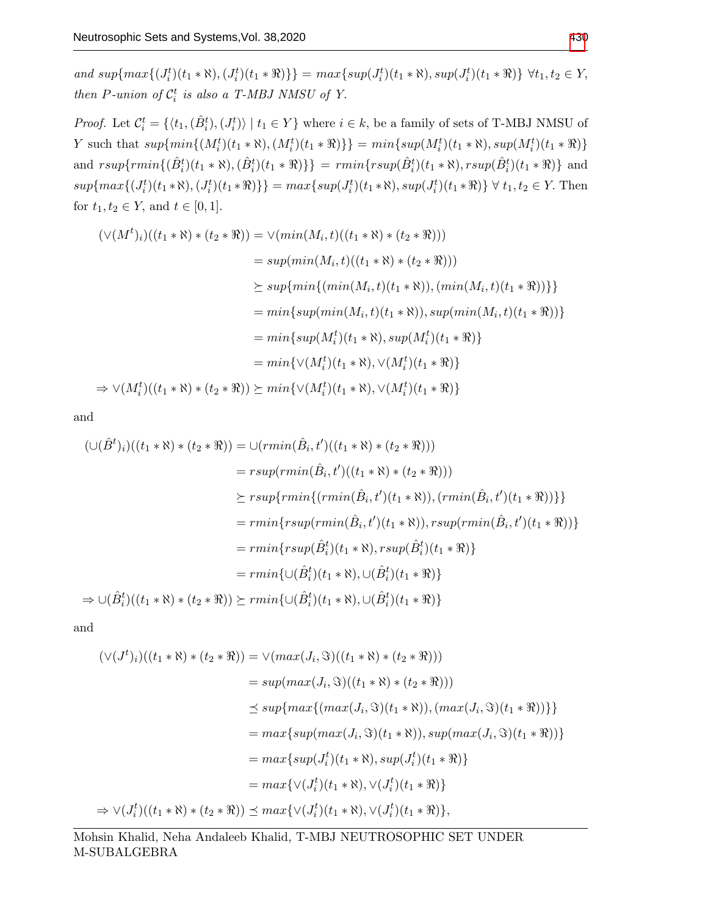and  $sup{max\{(J_i^t)(t_1 * \aleph), (J_i^t)(t_1 * \aleph)\}}$  =  $max{sup(J_i^t)(t_1 * \aleph), sup(J_i^t)(t_1 * \aleph)}$   $\forall t_1, t_2 \in Y$ , then P-union of  $C_i^t$  is also a T-MBJ NMSU of Y.

*Proof.* Let  $\mathcal{C}_i^t = \{ \langle t_1, (\hat{B}_i^t), (J_i^t) \rangle \mid t_1 \in Y \}$  where  $i \in k$ , be a family of sets of T-MBJ NMSU of Y such that  $sup{min\{(M_i^t)(t_1 * \aleph), (M_i^t)(t_1 * \aleph)\}} = min{sup(M_i^t)(t_1 * \aleph), sup(M_i^t)(t_1 * \aleph)}$ and  $rsup\{rmin\{(\hat{B}_i^t)(t_1 * \aleph),(\hat{B}_i^t)(t_1 * \aleph)\}\}= rmin\{rsup(\hat{B}_i^t)(t_1 * \aleph),rsup(\hat{B}_i^t)(t_1 * \aleph)\}$  and  $sup{max\{(J_i^t)(t_1*\aleph), (J_i^t)(t_1*\aleph)\}} = max{sup(J_i^t)(t_1*\aleph), sup(J_i^t)(t_1*\aleph)} \ \forall t_1, t_2 \in Y.$  Then for  $t_1, t_2 \in Y$ , and  $t \in [0, 1]$ .

$$
(\vee(M^t)_i)((t_1 * \aleph) * (t_2 * \Re)) = \vee(min(M_i, t)((t_1 * \aleph) * (t_2 * \Re)))
$$
  
\n
$$
= sup(min(M_i, t)((t_1 * \aleph) * (t_2 * \Re)))
$$
  
\n
$$
\succeq sup\{min\{(min(M_i, t)(t_1 * \aleph)), (min(M_i, t)(t_1 * \Re))\}\}
$$
  
\n
$$
= min\{sup(min(M_i, t)(t_1 * \aleph)), sup(min(M_i, t)(t_1 * \Re))\}
$$
  
\n
$$
= min\{sup(M_i^t)(t_1 * \aleph), sup(M_i^t)(t_1 * \Re)\}
$$
  
\n
$$
= min\{\vee(M_i^t)(t_1 * \aleph), \vee(M_i^t)(t_1 * \Re)\}
$$
  
\n
$$
\Rightarrow \vee(M_i^t)((t_1 * \aleph) * (t_2 * \Re)) \succeq min\{\vee(M_i^t)(t_1 * \aleph), \vee(M_i^t)(t_1 * \Re)\}
$$

and

$$
(\bigcup (\hat{B}^t)_i)((t_1 * \aleph) * (t_2 * \Re)) = \bigcup (rmin(\hat{B}_i, t')((t_1 * \aleph) * (t_2 * \Re)))
$$
  
\n
$$
= rsup(rmin(\hat{B}_i, t')((t_1 * \aleph) * (t_2 * \Re)))
$$
  
\n
$$
\succeq rsup\{rmin\{(rmin(\hat{B}_i, t')(t_1 * \aleph)), (rmin(\hat{B}_i, t')(t_1 * \Re))\}\}
$$
  
\n
$$
= rmin\{rsup(rmin(\hat{B}_i, t')(t_1 * \aleph)), rsup(rmin(\hat{B}_i, t')(t_1 * \Re))\}
$$
  
\n
$$
= rmin\{rsup(\hat{B}_i^t)(t_1 * \aleph), rsup(\hat{B}_i^t)(t_1 * \Re)\}
$$
  
\n
$$
= rmin\{(\bigcup (\hat{B}_i^t)(t_1 * \aleph), \bigcup (\hat{B}_i^t)(t_1 * \Re)\}
$$
  
\n
$$
\Rightarrow \bigcup (\hat{B}_i^t)((t_1 * \aleph) * (t_2 * \Re)) \succeq rmin\{(\bigcup (\hat{B}_i^t)(t_1 * \aleph), \bigcup (\hat{B}_i^t)(t_1 * \Re)\}
$$

and

$$
(\vee (J^{t})_{i})((t_{1} * \aleph) * (t_{2} * \Re)) = \vee (max(J_{i}, \Im)((t_{1} * \aleph) * (t_{2} * \Re)))
$$
  
\n
$$
= sup(max(J_{i}, \Im)((t_{1} * \aleph) * (t_{2} * \Re)))
$$
  
\n
$$
\le sup\{max\{(max(J_{i}, \Im)(t_{1} * \aleph)), (max(J_{i}, \Im)(t_{1} * \Re))\}\}
$$
  
\n
$$
= max\{sup(max(J_{i}, \Im)(t_{1} * \aleph)), sup(max(J_{i}, \Im)(t_{1} * \Re))\}
$$
  
\n
$$
= max\{sup(J_{i}^{t})(t_{1} * \aleph), sup(J_{i}^{t})(t_{1} * \Re)\}
$$
  
\n
$$
= max\{ \vee (J_{i}^{t})(t_{1} * \aleph), \vee (J_{i}^{t})(t_{1} * \Re)\}
$$
  
\n
$$
\Rightarrow \vee (J_{i}^{t})((t_{1} * \aleph) * (t_{2} * \Re)) \le max\{ \vee (J_{i}^{t})(t_{1} * \aleph), \vee (J_{i}^{t})(t_{1} * \Re)\},
$$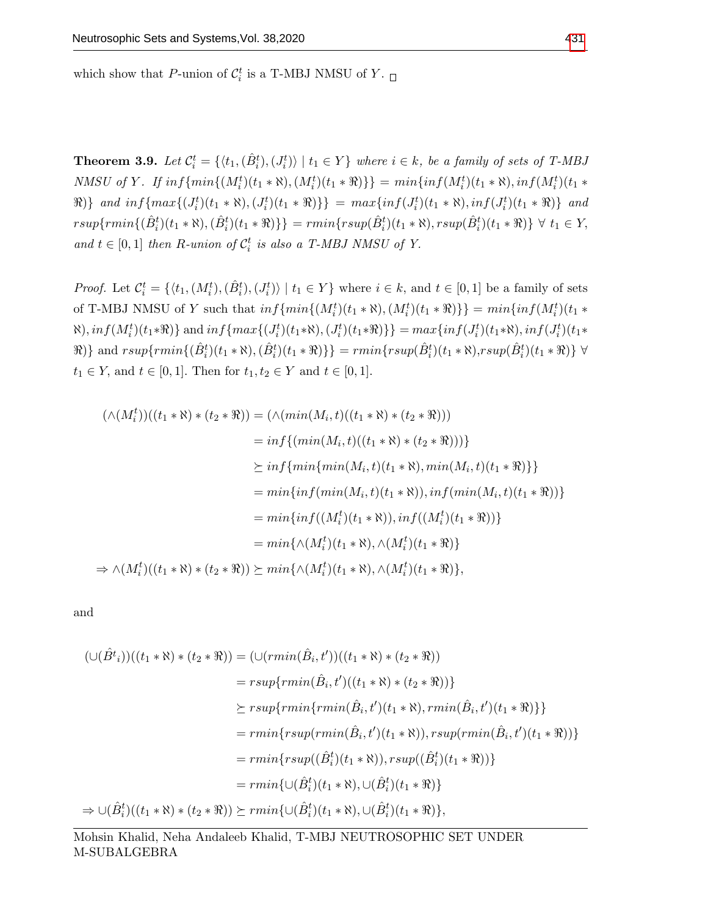which show that P-union of  $C_i^t$  is a T-MBJ NMSU of Y.

**Theorem 3.9.** Let  $\mathcal{C}_i^t = \{ \langle t_1, (\hat{B}_i^t), (J_i^t) \rangle \mid t_1 \in Y \}$  where  $i \in k$ , be a family of sets of T-MBJ NMSU of Y. If  $inf\{min\{(M_i^t)(t_1 * \aleph), (M_i^t)(t_1 * \Re)\}\} = min\{inf(M_i^t)(t_1 * \aleph), inf(M_i^t)(t_1 * \Re)\}$  $\Re$ )} and  $inf\{max\{(J_i^t)(t_1 * \aleph), (J_i^t)(t_1 * \aleph)\}\}= max\{inf(J_i^t)(t_1 * \aleph), inf(J_i^t)(t_1 * \aleph)\}$  and  $rsup\{rmin\{(\hat{B}_{i}^{t})(t_{1} * \aleph),(\hat{B}_{i}^{t})(t_{1} * \aleph)\}\} = rmin\{rsup(\hat{B}_{i}^{t})(t_{1} * \aleph),rsup(\hat{B}_{i}^{t})(t_{1} * \aleph)\}\ \forall\ t_{1} \in Y$ and  $t \in [0,1]$  then R-union of  $C_i^t$  is also a T-MBJ NMSU of Y.

*Proof.* Let  $\mathcal{C}_i^t = \{ \langle t_1, (M_i^t), (\hat{B}_i^t), (J_i^t) \rangle \mid t_1 \in Y \}$  where  $i \in k$ , and  $t \in [0, 1]$  be a family of sets of T-MBJ NMSU of Y such that  $inf\{min\{(M_i^t)(t_1 * \aleph), (M_i^t)(t_1 * \Re)\}\} = min\{inf(M_i^t)(t_1 * \Re)\}$  $\{M_i^t\}(t_1*\Re)$ } and  $inf\{max\{(J_i^t)(t_1*\Re), (J_i^t)(t_1*\Re)\}\}$  =  $max\{inf(J_i^t)(t_1*\Re), inf(J_i^t)(t_1*\Re)\}$  $\{R\}\}$  and  $rsup\{rmin\{(\hat{B}_i^t)(t_1*\aleph),(\hat{B}_i^t)(t_1*\aleph)\}\}=rmin\{rsup(\hat{B}_i^t)(t_1*\aleph),rsup(\hat{B}_i^t)(t_1*\aleph)\}\ \forall\$  $t_1 \in Y$ , and  $t \in [0, 1]$ . Then for  $t_1, t_2 \in Y$  and  $t \in [0, 1]$ .

$$
(\wedge (M_i^t))((t_1 * \aleph) * (t_2 * \Re)) = (\wedge (min(M_i, t)((t_1 * \aleph) * (t_2 * \Re)))
$$
  
\n
$$
= inf\{(min(M_i, t)((t_1 * \aleph) * (t_2 * \Re)))\}
$$
  
\n
$$
\geq inf\{min\{min(M_i, t)(t_1 * \aleph), min(M_i, t)(t_1 * \Re)\}\}
$$
  
\n
$$
= min\{inf(min(M_i, t)(t_1 * \aleph)), inf(min(M_i, t)(t_1 * \Re))\}
$$
  
\n
$$
= min\{inf((M_i^t)(t_1 * \aleph)), inf((M_i^t)(t_1 * \Re))\}
$$
  
\n
$$
= min\{\wedge (M_i^t)(t_1 * \aleph), \wedge (M_i^t)(t_1 * \Re)\}
$$
  
\n
$$
\Rightarrow \wedge (M_i^t)((t_1 * \aleph) * (t_2 * \Re)) \geq min\{\wedge (M_i^t)(t_1 * \aleph), \wedge (M_i^t)(t_1 * \Re)\},
$$

and

$$
(\bigcup (\hat{B}^t_i))((t_1 * \aleph) * (t_2 * \Re)) = (\bigcup (rmin(\hat{B}_i, t'))((t_1 * \aleph) * (t_2 * \Re))
$$
  
\n
$$
= rsup\{rmin(\hat{B}_i, t')((t_1 * \aleph) * (t_2 * \Re))\}
$$
  
\n
$$
\succeq rsup\{rmin\{rmin(\hat{B}_i, t')(t_1 * \aleph), rmin(\hat{B}_i, t')(t_1 * \Re)\}\}
$$
  
\n
$$
= rmin\{rsup(rmin(\hat{B}_i, t')(t_1 * \aleph)), rsup(rmin(\hat{B}_i, t')(t_1 * \Re))\}
$$
  
\n
$$
= rmin\{rsup((\hat{B}^t_i)(t_1 * \aleph)), rsup((\hat{B}^t_i)(t_1 * \Re))\}
$$
  
\n
$$
= rmin\{(\bigcup (\hat{B}^t_i)(t_1 * \aleph), \bigcup (\hat{B}^t_i)(t_1 * \Re)\}\}
$$
  
\n
$$
\Rightarrow \bigcup (\hat{B}^t_i)((t_1 * \aleph) * (t_2 * \Re)) \succeq rmin\{(\bigcup (\hat{B}^t_i)(t_1 * \aleph), \bigcup (\hat{B}^t_i)(t_1 * \Re)\}\},
$$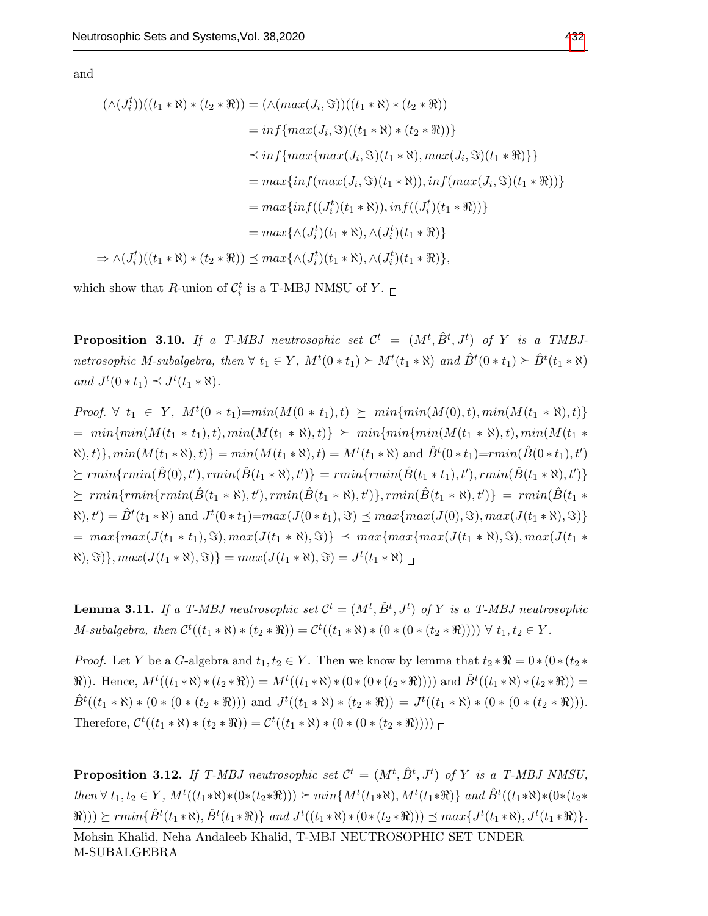and

$$
(\wedge (J_i^t))((t_1 * \aleph) * (t_2 * \aleph)) = (\wedge(max(J_i, \Im))((t_1 * \aleph) * (t_2 * \Re))
$$
  
\n
$$
= inf\{max(J_i, \Im)((t_1 * \aleph) * (t_2 * \Re))\}
$$
  
\n
$$
\leq inf\{max(max(J_i, \Im)(t_1 * \aleph), max(J_i, \Im)(t_1 * \Re))\}
$$
  
\n
$$
= max\{inf(max(J_i, \Im)(t_1 * \aleph)), inf(max(J_i, \Im)(t_1 * \Re))\}
$$
  
\n
$$
= max\{inf((J_i^t)(t_1 * \aleph)), inf((J_i^t)(t_1 * \Re))\}
$$
  
\n
$$
= max\{\wedge (J_i^t)(t_1 * \aleph), \wedge (J_i^t)(t_1 * \Re)\}
$$
  
\n
$$
\Rightarrow \wedge (J_i^t)((t_1 * \aleph) * (t_2 * \Re)) \leq max\{\wedge (J_i^t)(t_1 * \aleph), \wedge (J_i^t)(t_1 * \Re)\},
$$

which show that R-union of  $C_i^t$  is a T-MBJ NMSU of Y.

**Proposition 3.10.** If a T-MBJ neutrosophic set  $\mathcal{C}^t$  =  $(M^t, \hat{B}^t, J^t)$  of Y is a TMBJnetrosophic M-subalgebra, then  $\forall t_1 \in Y$ ,  $M^t(0*t_1) \succeq M^t(t_1*\aleph)$  and  $\hat{B}^t(0*t_1) \succeq \hat{B}^t(t_1*\aleph)$ and  $J^t(0*t_1) \preceq J^t(t_1*\aleph).$ 

*Proof.*  $\forall$   $t_1$  ∈  $Y$ ,  $M^t(0 * t_1) = min(M(0 * t_1), t) \succeq min\{min(M(0), t), min(M(t_1 * \aleph), t)\}$  $= min\{min(M(t_1 * t_1), t), min(M(t_1 * \aleph), t)\}\geq min\{min\{min(M(t_1 * \aleph), t), min(M(t_1 * \aleph), t)\}\$  $\{(\mathbf{x}), t\}, \min(M(t_1 * \mathbf{x}), t)\} = \min(M(t_1 * \mathbf{x}), t) = M^t(t_1 * \mathbf{x})$  and  $\hat{B}^t(0 * t_1) = \min(\hat{B}(0 * t_1), t')$  $\textit{F}_{\mathcal{F}} = \textit{rmin}\{\textit{rmin}(\hat{B}(t_1 * \aleph), t')\} = \textit{rmin}\{\textit{rmin}(\hat{B}(t_1 * t_1), t'), \textit{rmin}(\hat{B}(t_1 * \aleph), t')\}$  $\ \ \succeq \ rmin\{rmin(\hat{B}(t_1*\aleph), t'), rmin(\hat{B}(t_1*\aleph), t')\}, rmin(\hat{B}(t_1*\aleph), t')\} \ = \ rmin(\hat{B}(t_1*\aleph), t')$  $\mathcal{R}(t) = \hat{B}^t(t_1 * \mathcal{R})$  and  $J^t(0 * t_1) = max(J(0 * t_1), \Im) \preceq max\{max(J(0), \Im), max(J(t_1 * \Re), \Im)\}$  $= max{max(J(t_1 * t_1), \Im), max(J(t_1 * \Re), \Im)} \leq max{max{max(J(t_1 * \Re), \Im), max(J(t_1 * \Re))}$  $\{(\mathbf{x}), \mathbf{S}\}\}$ ,  $max(J(t_1 * \mathbf{N}), \mathbf{S})$  =  $max(J(t_1 * \mathbf{N}), \mathbf{S}) = J^t(t_1 * \mathbf{N})$ 

**Lemma 3.11.** If a T-MBJ neutrosophic set  $\mathcal{C}^t = (M^t, \hat{B}^t, J^t)$  of Y is a T-MBJ neutrosophic  $M\text{-}subalgebra, then \mathcal{C}^{t}((t_{1} * \aleph) * (t_{2} * \aleph)) = \mathcal{C}^{t}((t_{1} * \aleph) * (0 * (0 * (t_{2} * \aleph)))) \forall t_{1}, t_{2} \in Y.$ 

*Proof.* Let Y be a G-algebra and  $t_1, t_2 \in Y$ . Then we know by lemma that  $t_2 * \Re = 0 * (0 * (t_2 *$  $\mathbb{R}$ )). Hence,  $M^t((t_1 * \aleph) * (t_2 * \aleph)) = M^t((t_1 * \aleph) * (0 * (0 * (t_2 * \aleph)))$  and  $\hat{B}^t((t_1 * \aleph) * (t_2 * \aleph)) = 0$  $\hat{B}^t((t_1 * \aleph) * (0 * (t_2 * \aleph)))$  and  $J^t((t_1 * \aleph) * (t_2 * \aleph)) = J^t((t_1 * \aleph) * (0 * (0 * (t_2 * \aleph))).$ Therefore,  $C^{t}((t_{1} * \aleph) * (t_{2} * \aleph)) = C^{t}((t_{1} * \aleph) * (0 * (0 * (t_{2} * \aleph))))$ 

**Proposition 3.12.** If T-MBJ neutrosophic set  $\mathcal{C}^t = (M^t, \hat{B}^t, J^t)$  of Y is a T-MBJ NMSU, then  $\forall t_1, t_2 \in Y$ ,  $M^t((t_1 * \aleph) * (0 * (t_2 * \Re))) \succeq min\{M^t(t_1 * \aleph), M^t(t_1 * \Re)\}\$  and  $\hat{B}^t((t_1 * \aleph) * (0 * (t_2 * \Re)))$  $(\Re(\theta)) \geq r \min\{\hat{B}^t(t_1 * \aleph), \hat{B}^t(t_1 * \aleph)\}$  and  $J^t((t_1 * \aleph) * (0 * (t_2 * \aleph))) \preceq \max\{J^t(t_1 * \aleph), J^t(t_1 * \aleph)\}.$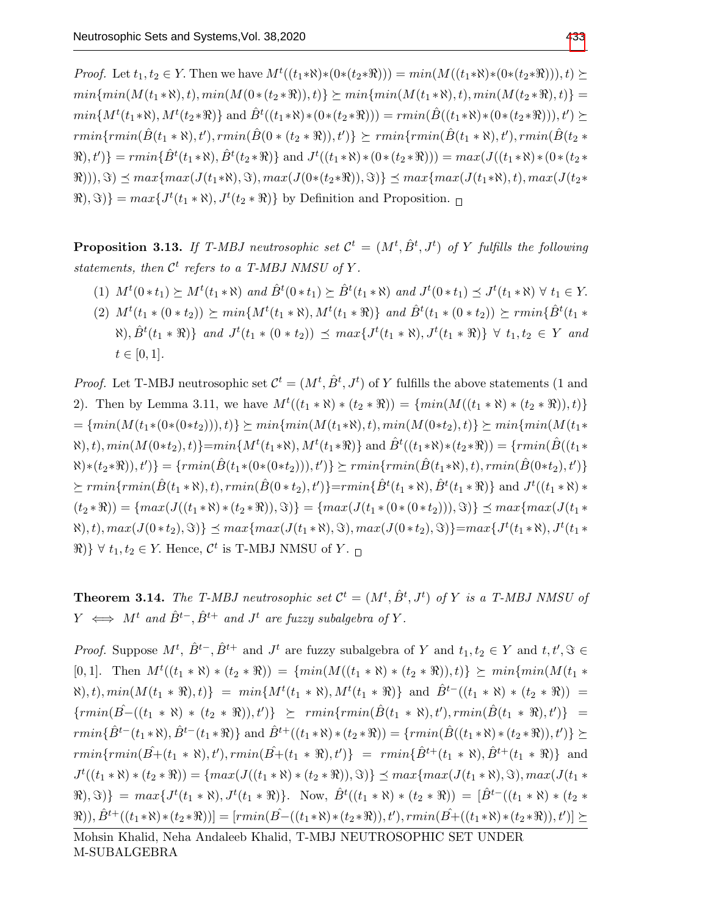*Proof.* Let  $t_1, t_2 \in Y$ . Then we have  $M^t((t_1 * \aleph) * (0 * (t_2 * \Re))) = min(M((t_1 * \aleph) * (0 * (t_2 * \Re))) , t) \succeq$  $min\{min(M(t_1 * \aleph), t), min(M(0 * (t_2 * \aleph)), t)\}\succeq min\{min(M(t_1 * \aleph), t), min(M(t_2 * \aleph), t)\} =$  $min\{M^t(t_1*\aleph), M^t(t_2*\Re)\}\text{ and }\hat{B}^t((t_1*\aleph)*(0*(t_2*\Re))) = rmin(\hat{B}((t_1*\aleph)*(0*(t_2*\Re))), t') \succeq$  $rmin\{rmin(\hat{B}(t_1*\aleph),t'),rmin(\hat{B}(0*(t_2*\aleph)),t')\}\succeq rmin\{rmin(\hat{B}(t_1*\aleph),t'),rmin(\hat{B}(t_2*\aleph)))\}$  $\{\hat{B}^t(t_1*\aleph), \hat{B}^t(t_2*\aleph)\}$  and  $J^t((t_1*\aleph)*(0*(t_2*\aleph))) = max(J((t_1*\aleph)*(0*(t_2*\aleph)))$  $\mathcal{R}$ (1)),  $\Im$   $\leq$  max{max(J(t<sub>1</sub>∗ $\Re$ ),  $\Im$ ), max(J(0∗(t<sub>2</sub>∗ $\Re$ )),  $\Im$ }  $\leq$  max{max(J(t<sub>1</sub>∗ $\Re$ ), t), max(J(t<sub>2</sub>∗  $\{\Re(s), \Im\} = \max\{J^t(t_1 * \aleph), J^t(t_2 * \Re)\}\$  by Definition and Proposition.

**Proposition 3.13.** If T-MBJ neutrosophic set  $\mathcal{C}^t = (M^t, \hat{B}^t, J^t)$  of Y fulfills the following statements, then  $\mathcal{C}^t$  refers to a T-MBJ NMSU of Y.

- (1)  $M^t(0*t_1) \succeq M^t(t_1*\aleph)$  and  $\hat{B}^t(0*t_1) \succeq \hat{B}^t(t_1*\aleph)$  and  $J^t(0*t_1) \preceq J^t(t_1*\aleph) \forall t_1 \in Y$ .
- (2)  $M^t(t_1 * (0 * t_2)) \succeq min\{M^t(t_1 * \aleph), M^t(t_1 * \Re)\}\$  and  $\hat{B}^t(t_1 * (0 * t_2)) \succeq rmin\{\hat{B}^t(t_1 * \Re)\}$  $\{(\forall x), \hat{B}^t(t_1 * \Re)\}\$  and  $J^t(t_1 * (0 * t_2)) \preceq max\{J^t(t_1 * \Re), J^t(t_1 * \Re)\}\ \forall\ t_1, t_2 \in Y\$ and  $t \in [0, 1].$

*Proof.* Let T-MBJ neutrosophic set  $\mathcal{C}^t = (M^t, \hat{B}^t, J^t)$  of Y fulfills the above statements (1 and 2). Then by Lemma 3.11, we have  $M^t((t_1 * \aleph) * (t_2 * \aleph)) = \{min(M((t_1 * \aleph) * (t_2 * \aleph)), t)\}$  $=\{min(M(t_1*(0*(0*t_2))), t)\}\geq min\{min(M(t_1*\aleph), t), min(M(0*t_2), t)\}\geq min\{min(M(t_1*\aleph), t)\}$  $\{(\mathbf{M}(0*t_2), t)\} = min\{M^t(t_1 * \aleph), M^t(t_1 * \aleph)\}\$ and  $\hat{B}^t((t_1 * \aleph) * (t_2 * \aleph)) = \{rmin(\hat{B}((t_1 * \aleph) * (t_2 * \aleph)))\}$  $\{F(x)*f(z*\Re), t')\} = \{rmin(\hat{B}(t_1*(0*(0*t_2))), t')\} \succeq rmin\{rmin(\hat{B}(t_1*\Re), t), rmin(\hat{B}(0*t_2), t')\}$  $\geq rmin\{rmin(\hat{B}(t_1 * \aleph), t), rmin(\hat{B}(0 * t_2), t')\} = rmin\{\hat{B}^t(t_1 * \aleph), \hat{B}^t(t_1 * \aleph)\}\$  and  $J^t((t_1 * \aleph) *$  $(t_2 * \Re) = \{max(J((t_1 * \Re) * (t_2 * \Re)), \Im)\} = \{max(J(t_1 * (0 * (0 * t_2))), \Im)\} \preceq max\{max(J(t_1 * \Re), \Im)\}$  $\{(\forall x), t\}, max(J(0*t_2), \Im) \} \preceq max \{ max(J(t_1 * \Re), \Im), max(J(0*t_2), \Im) \} = max \{ J^t(t_1 * \Re), J^t(t_1 * \Im), J^t(t_2 * \Im), J^t(t_2 * \Im), J^t(t_2 * \Im), J^t(t_2 * \Im), J^t(t_2 * \Im), J^t(t_2 * \Im), J^t(t_2 * \Im), J^t(t_2 * \Im), J^t(t_2 * \Im), J^t(t_2 * \Im), J^t(t_2 * \Im), J^t(t_2 * \Im), J^t(t_2 * \Im), J^t(t_2 * \Im), J^$  $\mathbb{R}$ )  $\forall$   $t_1, t_2 \in Y$ . Hence,  $\mathcal{C}^t$  is T-MBJ NMSU of Y.

**Theorem 3.14.** The T-MBJ neutrosophic set  $\mathcal{C}^t = (M^t, \hat{B}^t, J^t)$  of Y is a T-MBJ NMSU of  $Y \iff M^t$  and  $\hat{B}^{t-}, \hat{B}^{t+}$  and  $J^t$  are fuzzy subalgebra of Y.

*Proof.* Suppose  $M^t$ ,  $\hat{B}^{t-}$ ,  $\hat{B}^{t+}$  and  $J^t$  are fuzzy subalgebra of Y and  $t_1, t_2 \in Y$  and  $t, t', \Im \in$  $[0,1]$ . Then  $M^t((t_1 * \aleph) * (t_2 * \aleph)) = \{min(M((t_1 * \aleph) * (t_2 * \aleph)), t)\}\succeq min\{min(M(t_1 * \aleph)) * (t_2 * \aleph))\}$  $\{N\}, t), min(M(t_1 * \Re), t)\} = min\{M^t(t_1 * \Re), M^t(t_1 * \Re)\}$  and  $\hat{B}^{t-}((t_1 * \Re) * (t_2 * \Re))$  =  $\{rmin(\hat{B} - ((t_1 * \aleph) * (t_2 * \aleph)), t')\} \geq rmin\{rmin(\hat{B}(t_1 * \aleph), t'), rmin(\hat{B}(t_1 * \aleph), t')\} =$  $rmin\{\hat{B}^{t-}(t_1*\aleph), \hat{B}^{t-}(t_1*\Re)\}$  and  $\hat{B}^{t+}((t_1*\aleph)*(t_2*\Re)) = \{rmin(\hat{B}((t_1*\aleph)*(t_2*\Re)), t')\} \succeq$  $\begin{array}{lcl} rmin\{rmin(\hat{B+}(t_1*\aleph),t'), rmin(\hat{B+}(t_1*\aleph),t')\} & = & rmin\{\hat{B}^{t+}(t_1*\aleph),\hat{B}^{t+}(t_1*\aleph)\} \end{array}$  and  $J^t((t_1 * \aleph) * (t_2 * \aleph)) = \{max(J((t_1 * \aleph) * (t_2 * \aleph)), \Im)\}\preceq max\{max(J(t_1 * \aleph), \Im), max(J(t_1 * \aleph)))\}$  $\{\mathfrak{R},\mathfrak{S}\}\} = \max\{J^t(t_1*\aleph), J^t(t_1*\aleph)\}.$  Now,  $\hat{B}^t((t_1*\aleph)*(t_2*\aleph)) = [\hat{B}^{t-}((t_1*\aleph)*(t_2*\aleph))]$  $(\Re), \hat{B}^{t+}((t_1*\aleph)*(t_2*\Re))] = [rmin(\hat{B}-((t_1*\aleph)*(t_2*\Re)), t'), rmin(\hat{B}+((t_1*\aleph)*(t_2*\Re)), t')] \succeq$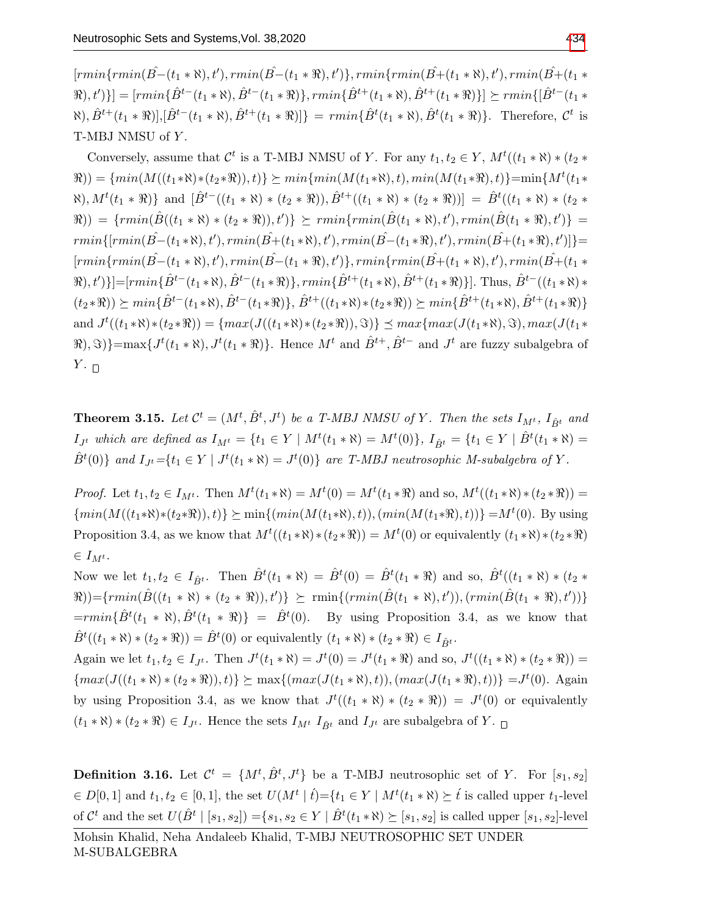$\{rmin\{rmin(\hat{B}- (t_1 * \aleph), t'), rmin(\hat{B}-(t_1 * \aleph), t')\}, rmin\{rmin(\hat{B}+(t_1 * \aleph), t'), rmin(\hat{B}+(t_1 * \aleph), t')\} \}$  $\{(\hat{B}^{t-}(t_1*\aleph), \hat{B}^{t-}(t_1*\aleph)), rmin\{\hat{B}^{t+}(t_1*\aleph), \hat{B}^{t+}(t_1*\aleph)\}\}\succeq rmin\{[\hat{B}^{t-}(t_1*\aleph)], rmin\{\hat{B}^{t-}(t_1*\aleph), \hat{B}^{t+}(t_1*\aleph)\}\}\succeq rmin\{[\hat{B}^{t-}(t_1*\aleph), \hat{B}^{t-}(t_1*\aleph)], rmin\{[\hat{B}^{t-}(t_1*\aleph), \hat{B}^{t+}(t_1*\aleph)], \hat{B}^{t+}(t_1$  $\langle \hat{B}, \hat{B}^{t+}(t_1 * \Re)], [\hat{B}^{t-}(t_1 * \Re), \hat{B}^{t+}(t_1 * \Re)]\} = \min\{\hat{B}^{t}(t_1 * \Re), \hat{B}^{t}(t_1 * \Re)\}.$  Therefore,  $\mathcal{C}^{t}$  is T-MBJ NMSU of Y.

Conversely, assume that  $\mathcal{C}^t$  is a T-MBJ NMSU of Y. For any  $t_1, t_2 \in Y$ ,  $M^t((t_1 * \aleph) * (t_2 *$  $(\Re E) = \{min(M((t_1 * \aleph) * (t_2 * \Re)), t)\}\succeq min\{min(M(t_1 * \aleph), t), min(M(t_1 * \Re), t)\} = min\{M^t(t_1 * \Re), t\}$  $\{(\forall k), M^t(t_1 * \Re)\}\$ and  $[\hat{B}^{t-}((t_1 * \Re) * (t_2 * \Re)), \hat{B}^{t+}((t_1 * \Re) * (t_2 * \Re))] = \hat{B}^t((t_1 * \Re) * (t_2 * \Re))$  $\{rmin(\hat{B}((t_1 * \aleph) * (t_2 * \aleph)), t')\} \succeq rmin\{rmin(\hat{B}(t_1 * \aleph), t'), rmin(\hat{B}(t_1 * \aleph), t')\} = 0\}$  $rmin\{[rmin(\hat{B}- (t_1 * \aleph), t'), rmin(\hat{B}+ (t_1 * \aleph), t'), rmin(\hat{B}- (t_1 * \aleph), t'), rmin(\hat{B}+ (t_1 * \aleph), t')]\}$  $\{rmin\{rmin(\hat{B}- (t_1 * \aleph), t'), rmin(\hat{B}-(t_1 * \aleph), t')\}, rmin\{rmin(\hat{B}+(t_1 * \aleph), t'), rmin(\hat{B}+(t_1 * \aleph), t')\} \}$  $\{(\hat{B}^t, t')\}$ ]=[ $\{rmin\{\hat{B}^t-(t_1*\aleph), \hat{B}^t-(t_1*\aleph)\},$   $\{rmin\{\hat{B}^t+(t_1*\aleph), \hat{B}^t+(t_1*\aleph)\}\}\$ . Thus,  $\hat{B}^t-(t_1*\aleph)\}$  $(t_2 * \Re) \geq min\{\hat{B}^{t-}(t_1 * \Re), \hat{B}^{t-}(t_1 * \Re)\}, \hat{B}^{t+}((t_1 * \Re) * (t_2 * \Re)) \geq min\{\hat{B}^{t+}(t_1 * \Re), \hat{B}^{t+}(t_1 * \Re)\}$ and  $J^t((t_1*\aleph)*(t_2*\aleph)) = \{max(J((t_1*\aleph)*(t_2*\aleph)), \Im)\}\preceq max\{max(J(t_1*\aleph), \Im), max(J(t_1*\aleph)))\}$  $\{\mathcal{R}, \mathcal{S}\}\} = \max\{J^t(t_1 * \aleph), J^t(t_1 * \Re)\}.$  Hence  $M^t$  and  $\hat{B}^{t+}, \hat{B}^{t-}$  and  $J^t$  are fuzzy subalgebra of  $Y$ .  $\Box$ 

**Theorem 3.15.** Let  $\mathcal{C}^t = (M^t, \hat{B}^t, J^t)$  be a T-MBJ NMSU of Y. Then the sets  $I_{M^t}, I_{\hat{B}^t}$  and  $I_{J^t}$  which are defined as  $I_{M^t} = \{t_1 \in Y \mid M^t(t_1 * \aleph) = M^t(0)\},\ I_{\hat{B}^t} = \{t_1 \in Y \mid \hat{B}^t(t_1 * \aleph) = 0\}$  $\hat{B}^t(0)$ } and  $I_{J^t} = \{t_1 \in Y \mid J^t(t_1 * \aleph) = J^t(0)\}$  are T-MBJ neutrosophic M-subalgebra of Y.

*Proof.* Let  $t_1, t_2 \in I_{M^t}$ . Then  $M^t(t_1 * \aleph) = M^t(0) = M^t(t_1 * \Re)$  and so,  $M^t((t_1 * \aleph) * (t_2 * \Re)) =$  $\{min(M((t_1*\aleph)*(t_2*\aleph)), t)\}\geq min\{(min(M(t_1*\aleph), t)), (min(M(t_1*\aleph), t))\}=M^t(0)$ . By using Proposition 3.4, as we know that  $M^t((t_1*\aleph)*(t_2*\Re)) = M^t(0)$  or equivalently  $(t_1*\aleph)*(t_2*\Re)$  $\in I_{M^t}.$ 

Now we let  $t_1, t_2 \in I_{\hat{B}^t}$ . Then  $\hat{B}^t(t_1 * \aleph) = \hat{B}^t(0) = \hat{B}^t(t_1 * \aleph)$  and so,  $\hat{B}^t((t_1 * \aleph) * (t_2 *$  $(\hat{B}(t_1 * \aleph) * (t_2 * \aleph)), t') \geq \min\{ (rmin(\hat{B}(t_1 * \aleph), t')), (rmin(\hat{B}(t_1 * \aleph), t')) \}$  $= rmin\{\hat{B}^t(t_1*\aleph), \hat{B}^t(t_1*\aleph)\} = \hat{B}^t(0)$ . By using Proposition 3.4, as we know that  $\hat{B}^t((t_1 * \aleph) * (t_2 * \Re)) = \hat{B}^t(0)$  or equivalently  $(t_1 * \aleph) * (t_2 * \Re) \in I_{\hat{B}^t}$ .

Again we let  $t_1, t_2 \in I_{J^t}$ . Then  $J^t(t_1 * \aleph) = J^t(0) = J^t(t_1 * \aleph)$  and so,  $J^t((t_1 * \aleph) * (t_2 * \aleph)) =$  $\{max(J((t_1 * \aleph) * (t_2 * \aleph)), t)\}\succeq max\{(max(J(t_1 * \aleph), t)),(max(J(t_1 * \aleph), t))\}=J^t(0).$  Again by using Proposition 3.4, as we know that  $J^t((t_1 * \aleph) * (t_2 * \aleph)) = J^t(0)$  or equivalently  $(t_1 * \aleph) * (t_2 * \aleph) \in I_{J^t}$ . Hence the sets  $I_{M^t} I_{\hat{B}^t}$  and  $I_{J^t}$  are subalgebra of Y.  $\Box$ 

**Definition 3.16.** Let  $\mathcal{C}^t = \{M^t, \hat{B}^t, J^t\}$  be a T-MBJ neutrosophic set of Y. For  $[s_1, s_2]$  $\in D[0,1]$  and  $t_1, t_2 \in [0,1]$ , the set  $U(M^t | t) = \{t_1 \in Y | M^t(t_1 * \aleph) \succeq t \text{ is called upper } t_1\text{-level}\}$ of  $\mathcal{C}^t$  and the set  $U(\hat{B}^t | [s_1, s_2]) = \{s_1, s_2 \in Y | \hat{B}^t(t_1 * \aleph) \succeq [s_1, s_2]$  is called upper  $[s_1, s_2]$ -level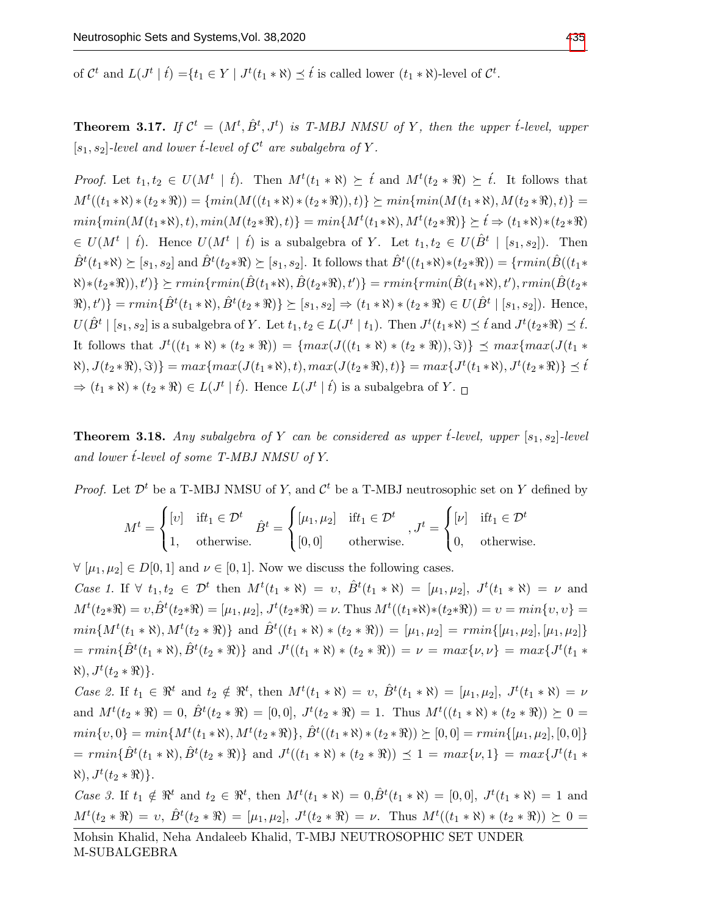of  $\mathcal{C}^t$  and  $L(J^t | t) = \{t_1 \in Y | J^t(t_1 * \aleph) \preceq t \text{ is called lower } (t_1 * \aleph) \text{-level of } \mathcal{C}^t.$ 

**Theorem 3.17.** If  $\mathcal{C}^t = (M^t, \hat{B}^t, J^t)$  is T-MBJ NMSU of Y, then the upper t-level, upper  $[s_1, s_2]$ -level and lower t-level of  $\mathcal{C}^t$  are subalgebra of Y.

*Proof.* Let  $t_1, t_2 \in U(M^t \mid t)$ . Then  $M^t(t_1 * \aleph) \succeq t$  and  $M^t(t_2 * \Re) \succeq t$ . It follows that  $M^t((t_1 * \aleph) * (t_2 * \aleph)) = \{min(M((t_1 * \aleph) * (t_2 * \aleph)), t)\}\succeq min\{min(M(t_1 * \aleph), M(t_2 * \aleph), t)\} =$  $min\{min(M(t_1*\aleph), t), min(M(t_2*\Re), t)\} = min\{M^t(t_1*\aleph), M^t(t_2*\Re)\} \succeq t \Rightarrow (t_1*\aleph)* (t_2*\Re)$  $\in U(M^t \mid \hat{t})$ . Hence  $U(M^t \mid \hat{t})$  is a subalgebra of Y. Let  $t_1, t_2 \in U(\hat{B}^t \mid [s_1, s_2])$ . Then  $\hat{B}^t(t_1*\aleph) \succeq [s_1, s_2]$  and  $\hat{B}^t(t_2*\Re) \succeq [s_1, s_2]$ . It follows that  $\hat{B}^t((t_1*\aleph) * (t_2*\Re)) = \{rmin(\hat{B}((t_1*\heals) * (t_2*\Re)))\}$  $\{F(s) * (t_2 * \Re)), t'\} \succeq rmin\{rmin(\hat{B}(t_1 * \Re), \hat{B}(t_2 * \Re), t')\} = rmin\{rmin(\hat{B}(t_1 * \Re), t'), rmin(\hat{B}(t_2 * \Re), t')\}$  $\{\hat{B}^t(t_1 * \aleph), \hat{B}^t(t_2 * \aleph)\} \geq [s_1, s_2] \Rightarrow (t_1 * \aleph) * (t_2 * \aleph) \in U(\hat{B}^t | [s_1, s_2])$ . Hence,  $U(\hat{B}^t \mid [s_1, s_2]$  is a subalgebra of Y. Let  $t_1, t_2 \in L(J^t \mid t_1)$ . Then  $J^t(t_1 * \aleph) \preceq \hat{t}$  and  $J^t(t_2 * \Re) \preceq \hat{t}$ . It follows that  $J^t((t_1 * \aleph) * (t_2 * \aleph)) = \{max(J((t_1 * \aleph) * (t_2 * \aleph)), \Im)\} \preceq max\{max(J(t_1 * \aleph))\}$  $\{S(t_1, X), J(t_2 * \Re), \Im\}\} = max\{max(J(t_1 * \Re), t), max(J(t_2 * \Re), t)\} = max\{J^t(t_1 * \Re), J^t(t_2 * \Re)\} \preceq \widehat{t}$  $\Rightarrow$   $(t_1 * \aleph) * (t_2 * \Re) \in L(J^t | t)$ . Hence  $L(J^t | t)$  is a subalgebra of Y.

**Theorem 3.18.** Any subalgebra of Y can be considered as upper  $\mathfrak{t}$ -level, upper  $[s_1, s_2]$ -level and lower  $\acute{t}$ -level of some T-MBJ NMSU of Y.

*Proof.* Let  $\mathcal{D}^t$  be a T-MBJ NMSU of Y, and  $\mathcal{C}^t$  be a T-MBJ neutrosophic set on Y defined by

$$
M^{t} = \begin{cases} [v] & \text{if } t_1 \in \mathcal{D}^t \\ 1, & \text{otherwise.} \end{cases} \quad \hat{B}^{t} = \begin{cases} [\mu_1, \mu_2] & \text{if } t_1 \in \mathcal{D}^t \\ [0, 0] & \text{otherwise.} \end{cases}, J^{t} = \begin{cases} [v] & \text{if } t_1 \in \mathcal{D}^t \\ 0, & \text{otherwise.} \end{cases}
$$

 $\forall [\mu_1, \mu_2] \in D[0, 1]$  and  $\nu \in [0, 1]$ . Now we discuss the following cases.

Case 1. If  $\forall$   $t_1, t_2 \in \mathcal{D}^t$  then  $M^t(t_1 * \aleph) = v$ ,  $\hat{B}^t(t_1 * \aleph) = [\mu_1, \mu_2]$ ,  $J^t(t_1 * \aleph) = \nu$  and  $M^{t}(t_{2}*\mathfrak{R})=v, \hat{B}^{t}(t_{2}*\mathfrak{R})=[\mu_{1},\mu_{2}], J^{t}(t_{2}*\mathfrak{R})=\nu$ . Thus  $M^{t}((t_{1}*\mathfrak{R})*(t_{2}*\mathfrak{R}))=v=min\{v,v\}$  $min\{M^t(t_1*\aleph), M^t(t_2*\Re)\}\$ and  $\hat{B}^t((t_1*\aleph)*(t_2*\Re)) = [\mu_1, \mu_2] = rmin\{[\mu_1, \mu_2], [\mu_1, \mu_2]\}\$  $= rmin\{\hat{B}^t(t_1 * \aleph), \hat{B}^t(t_2 * \Re)\}\$ and  $J^t((t_1 * \aleph) * (t_2 * \Re)) = \nu = max\{\nu, \nu\} = max\{J^t(t_1 * \Re)\}$  $\aleph), J^t(t_2 * \Re) \}.$ 

Case 2. If  $t_1 \in \mathbb{R}^t$  and  $t_2 \notin \mathbb{R}^t$ , then  $M^t(t_1 * \aleph) = v$ ,  $\hat{B}^t(t_1 * \aleph) = [\mu_1, \mu_2]$ ,  $J^t(t_1 * \aleph) = \nu$ and  $M^t(t_2 * \mathfrak{R}) = 0$ ,  $\hat{B}^t(t_2 * \mathfrak{R}) = [0, 0]$ ,  $J^t(t_2 * \mathfrak{R}) = 1$ . Thus  $M^t((t_1 * \mathfrak{R}) * (t_2 * \mathfrak{R})) \succeq 0 =$  $min\{v, 0\} = min\{M^t(t_1 * \aleph), M^t(t_2 * \Re)\}, \, \hat{B}^t((t_1 * \aleph) * (t_2 * \Re)) \succeq [0, 0] = rmin\{[\mu_1, \mu_2], [0, 0]\}$  $= rmin\{\hat{B}^t(t_1 * \aleph), \hat{B}^t(t_2 * \Re)\}\$ and  $J^t((t_1 * \aleph) * (t_2 * \Re)) \preceq 1 = max\{\nu, 1\} = max\{J^t(t_1 * \Re)\}$  $\aleph), J^t(t_2 * \Re) \}.$ 

Case 3. If  $t_1 \notin \mathbb{R}^t$  and  $t_2 \in \mathbb{R}^t$ , then  $M^t(t_1 * \aleph) = 0, \hat{B}^t(t_1 * \aleph) = [0, 0], J^t(t_1 * \aleph) = 1$  and  $M^{t}(t_{2} * \mathfrak{R}) = v, \ \hat{B}^{t}(t_{2} * \mathfrak{R}) = [\mu_{1}, \mu_{2}], \ J^{t}(t_{2} * \mathfrak{R}) = \nu.$  Thus  $M^{t}((t_{1} * \mathfrak{R}) * (t_{2} * \mathfrak{R})) \succeq 0 =$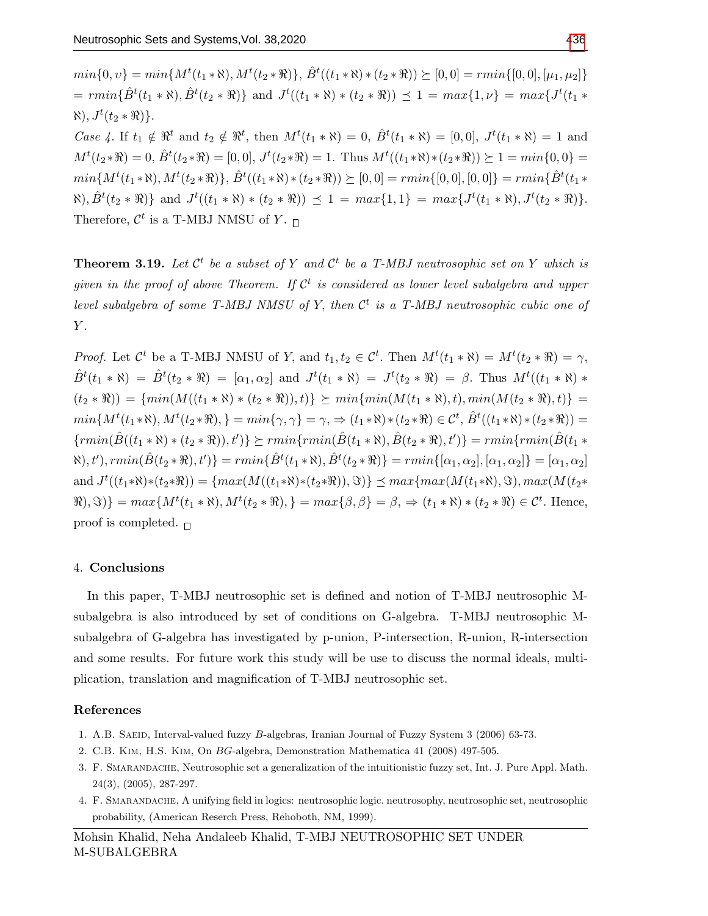$min\{0, v\} = min\{M^t(t_1 * \aleph), M^t(t_2 * \Re)\}, \hat{B}^t((t_1 * \aleph) * (t_2 * \Re)) \succeq [0, 0] = rmin\{[0, 0], [\mu_1, \mu_2]\}$  $= rmin\{\hat{B}^t(t_1 * \aleph), \hat{B}^t(t_2 * \Re)\}\$ and  $J^t((t_1 * \aleph) * (t_2 * \Re)) \preceq 1 = max\{1, \nu\} = max\{J^t(t_1 * \Re)\}$  $\aleph), J^t(t_2 * \Re) \}.$ 

Case 4. If  $t_1 \notin \mathbb{R}^t$  and  $t_2 \notin \mathbb{R}^t$ , then  $M^t(t_1 * \aleph) = 0$ ,  $\hat{B}^t(t_1 * \aleph) = [0,0]$ ,  $J^t(t_1 * \aleph) = 1$  and  $M^{t}(t_{2} * \mathbb{R}) = 0, \hat{B}^{t}(t_{2} * \mathbb{R}) = [0, 0], J^{t}(t_{2} * \mathbb{R}) = 1.$  Thus  $M^{t}((t_{1} * \mathbb{R}) * (t_{2} * \mathbb{R})) \succeq 1 = min\{0, 0\} =$  $min\{M^t(t_1*\aleph),M^t(t_2*\Re)\},\ \hat{B}^t((t_1*\aleph)*(t_2*\Re))\succeq[0,0]=rmin\{[0,0],[0,0]\}=rmin\{\hat{B}^t(t_1*\Re),\ \hat{B}^t(t_2*\Re)\}$  $\{\mathcal{R}(t_2 * \mathbb{R})\}$  and  $J^t((t_1 * \mathbb{N}) * (t_2 * \mathbb{R})) \preceq 1 = max\{1,1\} = max\{J^t(t_1 * \mathbb{N}), J^t(t_2 * \mathbb{R})\}.$ Therefore,  $\mathcal{C}^t$  is a T-MBJ NMSU of Y.

**Theorem 3.19.** Let  $\mathcal{C}^t$  be a subset of Y and  $\mathcal{C}^t$  be a T-MBJ neutrosophic set on Y which is given in the proof of above Theorem. If  $\mathcal{C}^t$  is considered as lower level subalgebra and upper level subalgebra of some T-MBJ NMSU of Y, then  $\mathcal{C}^t$  is a T-MBJ neutrosophic cubic one of  $Y$ .

*Proof.* Let  $\mathcal{C}^t$  be a T-MBJ NMSU of Y, and  $t_1, t_2 \in \mathcal{C}^t$ . Then  $M^t(t_1 * \aleph) = M^t(t_2 * \Re) = \gamma$ ,  $\hat{B}^t(t_1 * \aleph) = \hat{B}^t(t_2 * \Re) = [\alpha_1, \alpha_2]$  and  $J^t(t_1 * \aleph) = J^t(t_2 * \Re) = \beta$ . Thus  $M^t((t_1 * \aleph) *$  $(t_2 * \Re) = \{min(M((t_1 * \Re) * (t_2 * \Re)), t)\} \succeq min\{min(M(t_1 * \Re), t), min(M(t_2 * \Re), t)\}$  $min\{M^t(t_1*\aleph),M^t(t_2*\Re),\}=min\{\gamma,\gamma\}=\gamma,\Rightarrow(t_1*\aleph)*(t_2*\Re)\in\mathcal{C}^t,\,\hat{B}^t((t_1*\aleph)*(t_2*\Re))=$  $\{rmin(\hat{B}((t_1 * \aleph) * (t_2 * \aleph)), t')\} \succeq rmin\{rmin(\hat{B}(t_1 * \aleph), \hat{B}(t_2 * \aleph), t')\} = rmin\{rmin(\hat{B}(t_1 * \aleph)), t')\}$  $\{(\hat{B}(t_1,\hat{B}(t_2*\Re),t')\} = rmin\{\hat{B}^t(t_1*\Re),\hat{B}^t(t_2*\Re)\} = rmin\{[\alpha_1,\alpha_2], [\alpha_1,\alpha_2]\} = [\alpha_1,\alpha_2]$ and  $J^t((t_1*\aleph)*(t_2*\aleph)) = \{max(M((t_1*\aleph)*(t_2*\aleph)), \Im)\}\preceq max\{max(M(t_1*\aleph), \Im), max(M(t_2*\aleph)))\}$  $\{\Re, \Im\} = \max\{M^t(t_1 * \aleph), M^t(t_2 * \Re), \} = \max\{\beta, \beta\} = \beta, \Rightarrow (t_1 * \aleph) * (t_2 * \Re) \in \mathcal{C}^t.$  Hence, proof is completed.  $\Box$ 

#### 4. Conclusions

In this paper, T-MBJ neutrosophic set is defined and notion of T-MBJ neutrosophic Msubalgebra is also introduced by set of conditions on G-algebra. T-MBJ neutrosophic Msubalgebra of G-algebra has investigated by p-union, P-intersection, R-union, R-intersection and some results. For future work this study will be use to discuss the normal ideals, multiplication, translation and magnification of T-MBJ neutrosophic set.

## References

- <span id="page-13-2"></span>1. A.B. SAEID, Interval-valued fuzzy B-algebras, Iranian Journal of Fuzzy System 3 (2006) 63-73.
- <span id="page-13-3"></span>2. C.B. Kim, H.S. Kim, On BG-algebra, Demonstration Mathematica 41 (2008) 497-505.
- <span id="page-13-0"></span>3. F. Smarandache, Neutrosophic set a generalization of the intuitionistic fuzzy set, Int. J. Pure Appl. Math. 24(3), (2005), 287-297.
- <span id="page-13-1"></span>4. F. Smarandache, A unifying field in logics: neutrosophic logic. neutrosophy, neutrosophic set, neutrosophic probability, (American Reserch Press, Rehoboth, NM, 1999).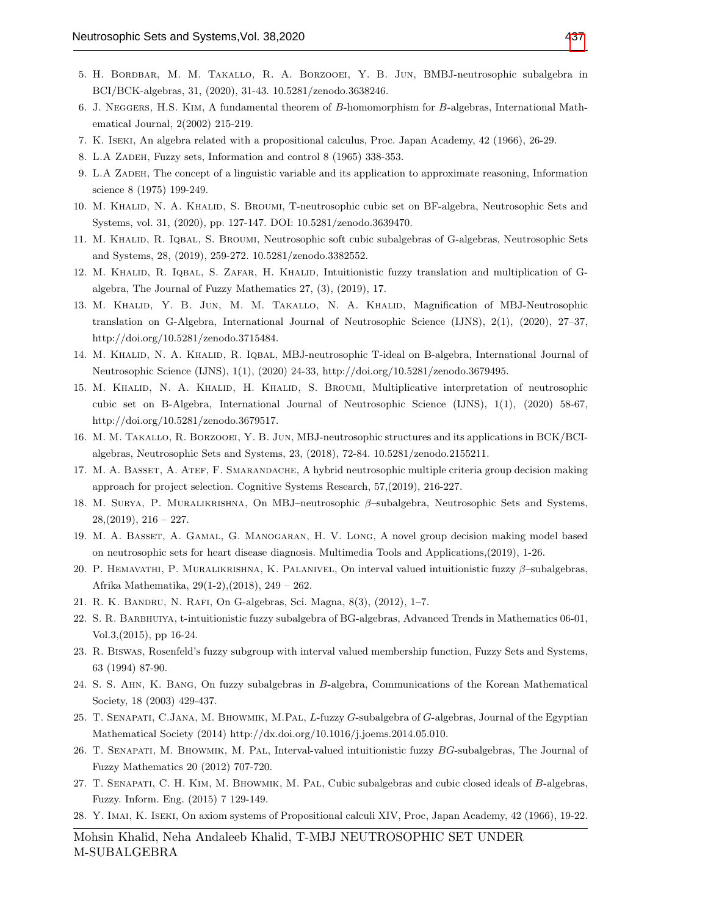- <span id="page-14-1"></span>5. H. Bordbar, M. M. Takallo, R. A. Borzooei, Y. B. Jun, BMBJ-neutrosophic subalgebra in BCI/BCK-algebras, 31, (2020), 31-43. 10.5281/zenodo.3638246.
- <span id="page-14-17"></span>6. J. Neggers, H.S. Kim, A fundamental theorem of B-homomorphism for B-algebras, International Mathematical Journal, 2(2002) 215-219.
- <span id="page-14-3"></span>7. K. Iseki, An algebra related with a propositional calculus, Proc. Japan Academy, 42 (1966), 26-29.
- <span id="page-14-6"></span>8. L.A ZADEH, Fuzzy sets, Information and control 8 (1965) 338-353.
- <span id="page-14-7"></span>9. L.A Zadeh, The concept of a linguistic variable and its application to approximate reasoning, Information science 8 (1975) 199-249.
- <span id="page-14-8"></span>10. M. KHALID, N. A. KHALID, S. BROUMI, T-neutrosophic cubic set on BF-algebra, Neutrosophic Sets and Systems, vol. 31, (2020), pp. 127-147. DOI: 10.5281/zenodo.3639470.
- <span id="page-14-11"></span>11. M. Khalid, R. Iqbal, S. Broumi, Neutrosophic soft cubic subalgebras of G-algebras, Neutrosophic Sets and Systems, 28, (2019), 259-272. 10.5281/zenodo.3382552.
- <span id="page-14-12"></span>12. M. Khalid, R. Iqbal, S. Zafar, H. Khalid, Intuitionistic fuzzy translation and multiplication of Galgebra, The Journal of Fuzzy Mathematics 27, (3), (2019), 17.
- <span id="page-14-13"></span>13. M. KHALID, Y. B. JUN, M. M. TAKALLO, N. A. KHALID, Magnification of MBJ-Neutrosophic translation on G-Algebra, International Journal of Neutrosophic Science (IJNS), 2(1), (2020), 27–37, http://doi.org/10.5281/zenodo.3715484.
- <span id="page-14-14"></span>14. M. KHALID, N. A. KHALID, R. IQBAL, MBJ-neutrosophic T-ideal on B-algebra, International Journal of Neutrosophic Science (IJNS), 1(1), (2020) 24-33, http://doi.org/10.5281/zenodo.3679495.
- <span id="page-14-15"></span>15. M. KHALID, N. A. KHALID, H. KHALID, S. BROUMI, Multiplicative interpretation of neutrosophic cubic set on B-Algebra, International Journal of Neutrosophic Science (IJNS), 1(1), (2020) 58-67, http://doi.org/10.5281/zenodo.3679517.
- <span id="page-14-16"></span>16. M. M. Takallo, R. Borzooei, Y. B. Jun, MBJ-neutrosophic structures and its applications in BCK/BCIalgebras, Neutrosophic Sets and Systems, 23, (2018), 72-84. 10.5281/zenodo.2155211.
- <span id="page-14-20"></span>17. M. A. Basset, A. Atef, F. Smarandache, A hybrid neutrosophic multiple criteria group decision making approach for project selection. Cognitive Systems Research, 57,(2019), 216-227.
- <span id="page-14-22"></span>18. M. Surya, P. Muralikrishna, On MBJ–neutrosophic β–subalgebra, Neutrosophic Sets and Systems,  $28, (2019), 216 - 227.$
- <span id="page-14-23"></span>19. M. A. Basset, A. Gamal, G. Manogaran, H. V. Long, A novel group decision making model based on neutrosophic sets for heart disease diagnosis. Multimedia Tools and Applications,(2019), 1-26.
- <span id="page-14-21"></span>20. P. HEMAVATHI, P. MURALIKRISHNA, K. PALANIVEL, On interval valued intuitionistic fuzzy β–subalgebras, Afrika Mathematika, 29(1-2),(2018), 249 – 262.
- <span id="page-14-5"></span>21. R. K. Bandru, N. Rafi, On G-algebras, Sci. Magna, 8(3), (2012), 1–7.
- <span id="page-14-0"></span>22. S. R. Barbhuiya, t-intuitionistic fuzzy subalgebra of BG-algebras, Advanced Trends in Mathematics 06-01, Vol.3,(2015), pp 16-24.
- <span id="page-14-18"></span>23. R. Biswas, Rosenfeld's fuzzy subgroup with interval valued membership function, Fuzzy Sets and Systems, 63 (1994) 87-90.
- <span id="page-14-19"></span>24. S. S. Ahn, K. Bang, On fuzzy subalgebras in B-algebra, Communications of the Korean Mathematical Society, 18 (2003) 429-437.
- <span id="page-14-9"></span>25. T. Senapati, C.Jana, M. Bhowmik, M.Pal, L-fuzzy G-subalgebra of G-algebras, Journal of the Egyptian Mathematical Society (2014) http://dx.doi.org/10.1016/j.joems.2014.05.010.
- <span id="page-14-10"></span>26. T. Senapati, M. Bhowmik, M. Pal, Interval-valued intuitionistic fuzzy BG-subalgebras, The Journal of Fuzzy Mathematics 20 (2012) 707-720.
- <span id="page-14-2"></span>27. T. Senapati, C. H. Kim, M. Bhowmik, M. Pal, Cubic subalgebras and cubic closed ideals of B-algebras, Fuzzy. Inform. Eng. (2015) 7 129-149.
- <span id="page-14-4"></span>28. Y. Imai, K. Iseki, On axiom systems of Propositional calculi XIV, Proc, Japan Academy, 42 (1966), 19-22.

Mohsin Khalid, Neha Andaleeb Khalid, T-MBJ NEUTROSOPHIC SET UNDER M-SUBALGEBRA